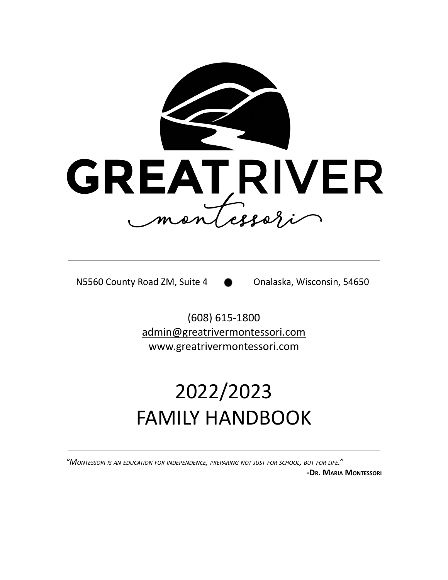

N5560 County Road ZM, Suite 4 **Conalaska**, Wisconsin, 54650

(608) 615-1800 [admin@greatrivermontessori.com](mailto:admin@greatrivermontessori.com) www.greatrivermontessori.com

# 2022/2023 FAMILY HANDBOOK

*"MONTESSORI IS AN EDUCATION FOR INDEPENDENCE, PREPARING NOT JUST FOR SCHOOL, BUT FOR LIFE."*

**-DR. MARIA MONTESSORI**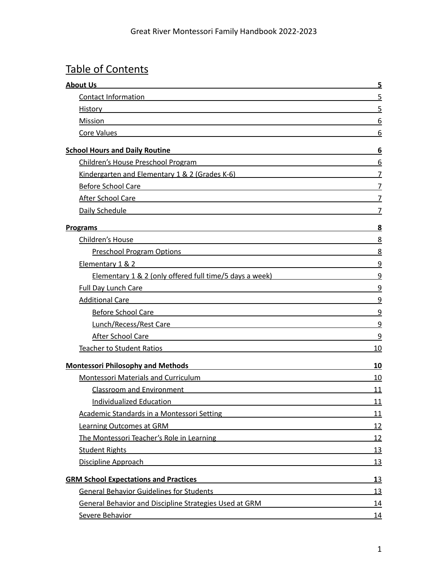## Table of Contents

| <b>About Us</b>                                                                                                                                                                                                                      | 5              |
|--------------------------------------------------------------------------------------------------------------------------------------------------------------------------------------------------------------------------------------|----------------|
| <b>Contact Information</b>                                                                                                                                                                                                           | 5              |
| History <b>Executive Service Service Service Service Service Service Service Service Service Service Service Service Service Service Service Service Service Service Service Service Service Service Service Service Service Ser</b> | 5              |
| Mission                                                                                                                                                                                                                              | 6              |
| Core Values <b>Core Values Core Values</b>                                                                                                                                                                                           | 6              |
| <b>School Hours and Daily Routine</b><br><u> 1989 - Johann Stein, mars an deus Amerikaansk kommunister (* 1950)</u>                                                                                                                  | 6              |
| Children's House Preschool Program                                                                                                                                                                                                   | 6              |
| Kindergarten and Elementary 1 & 2 (Grades K-6) National American State of the State of the State of the State o                                                                                                                      | $\overline{7}$ |
| <b>Before School Care</b>                                                                                                                                                                                                            | $\overline{7}$ |
| After School Care and the contract of the state of the state of the state of the state of the state of the state of the state of the state of the state of the state of the state of the state of the state of the state of th       | 7              |
| Daily Schedule                                                                                                                                                                                                                       | $\overline{7}$ |
| <b>Programs</b>                                                                                                                                                                                                                      | 8              |
| Children's House                                                                                                                                                                                                                     | 8              |
| <u>Preschool Program Options</u> and the control of the control of the control of the control of the control of the control of the control of the control of the control of the control of the control of the control of the contro  | 8              |
| Elementary 1 & 2<br><u> 1980 - Johann Stoff, deutscher Stoff, der Stoff, der Stoff, der Stoff, der Stoff, der Stoff, der Stoff, der S</u>                                                                                            | 9              |
| Elementary 1 & 2 (only offered full time/5 days a week)                                                                                                                                                                              | 9              |
| Full Day Lunch Care and the contract of the contract of the contract of the contract of the contract of the contract of the contract of the contract of the contract of the contract of the contract of the contract of the co       | 9              |
| Additional Care and the contract of the contract of the contract of the contract of the contract of the contract of the contract of the contract of the contract of the contract of the contract of the contract of the contra       | 9              |
| Before School Care<br><u> 1980 - Johann Barn, amerikansk politiker (d. 1980)</u>                                                                                                                                                     | 9              |
| Lunch/Recess/Rest Care and the contract of the contract of the contract of the contract of the contract of the                                                                                                                       | 9              |
| After School Care                                                                                                                                                                                                                    | 9              |
| Teacher to Student Ratios <b>Exercise Student Property</b> and the student of the student of the student of the student                                                                                                              | 10             |
| <b>Montessori Philosophy and Methods</b>                                                                                                                                                                                             | 10             |
| <b>Montessori Materials and Curriculum</b>                                                                                                                                                                                           | 10             |
| <b>Classroom and Environment</b><br><u> 1989 - Johann Barn, mars ann an t-Amhain ann an t-Amhain an t-Amhain an t-Amhain an t-Amhain an t-Amhain an t-</u>                                                                           | 11             |
| Individualized Education                                                                                                                                                                                                             | 11             |
| Academic Standards in a Montessori Setting                                                                                                                                                                                           | 11             |
| Learning Outcomes at GRM<br>and the state of the state of the state of the state of the state of the state of the state of                                                                                                           | 12             |
| The Montessori Teacher's Role in Learning                                                                                                                                                                                            | 12             |
| <b>Student Rights</b>                                                                                                                                                                                                                | <u>13</u>      |
| Discipline Approach<br><u> 1989 - Johann Harry Harry Harry Harry Harry Harry Harry Harry Harry Harry Harry Harry Harry Harry Harry Harry</u>                                                                                         | <u>13</u>      |
| <b>GRM School Expectations and Practices</b>                                                                                                                                                                                         | <u>13</u>      |
| <b>General Behavior Guidelines for Students</b><br><u> 1989 - Johann Harry Harry Harry Harry Harry Harry Harry Harry Harry Harry Harry Harry Harry Harry Harry Harry</u>                                                             | 13             |
| General Behavior and Discipline Strategies Used at GRM                                                                                                                                                                               | 14             |
| Severe Behavior<br><u> 1989 - Johann Stoff, deutscher Stoff, der Stoff, der Stoff, der Stoff, der Stoff, der Stoff, der Stoff, der S</u>                                                                                             | 14             |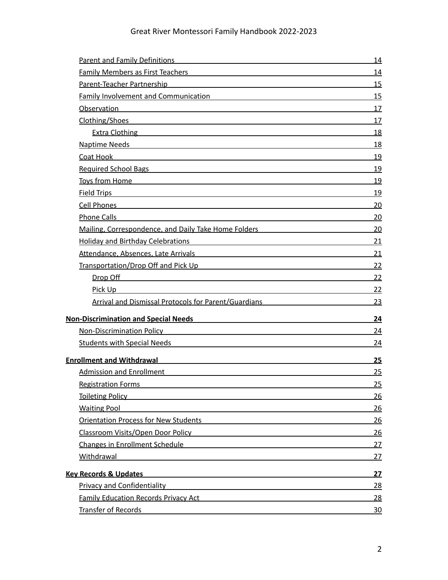| <b>Parent and Family Definitions Community Community Parent and Community Community</b>                                                                                                                                                 | <u>14</u>  |
|-----------------------------------------------------------------------------------------------------------------------------------------------------------------------------------------------------------------------------------------|------------|
| Family Members as First Teachers <b>Example 20 YO FIRST PROPERTY</b>                                                                                                                                                                    | 14         |
| Parent-Teacher Partnership and the control of the control of the control of the control of the control of the control of the control of the control of the control of the control of the control of the control of the control          | 15         |
| Family Involvement and Communication <b>Example 2018</b>                                                                                                                                                                                | 15         |
| Observation and the contract of the contract of the contract of the contract of the contract of the contract of                                                                                                                         | 17         |
| Clothing/Shoes experience and the contract of the contract of the contract of the contract of the contract of                                                                                                                           | 17         |
| Extra Clothing <b>Extra Clothing</b> 2014 12:30 12:30 12:30 12:30 12:30 12:30 12:30 12:30 12:30 12:30 12:30 12:30 12:30 12:30 12:30 12:30 12:30 12:30 12:30 12:30 12:30 12:30 12:30 12:30 12:30 12:30 12:30 12:30 12:30 12:30 12:30     | 18         |
| Naptime Needs <b>Manual Community of the Community of the Community</b> of the Community of the Community of the Community of the Community of the Community of the Community of the Community of the Community of the Community of     | 18         |
| Coat Hook <b>Coat Hook Coat Hook Coat Hook Coat Hook Coat Hook Coat Hook Coat Hook Coat Act 2014</b>                                                                                                                                    | <u>19</u>  |
| Required School Bags <b>School Bags Container and Container and Container and Container and Container and Container</b>                                                                                                                 | 19         |
| <b>Toys from Home <i>CONSIDERATION</i> <b><i>CONSIDERATION</i></b></b>                                                                                                                                                                  | 19         |
| Field Trips <b>Example 20</b> Trips <b>Container the Contract of Trips</b>                                                                                                                                                              | 19         |
| <b>Cell Phones Contract Contract Contract Contract Contract Contract Contract Contract Contract Contract Contract Contract Contract Contract Contract Contract Contract Contract Contract Contract Contract Contract Contract </b>      | 20         |
| <b>Phone Calls</b><br><u> 1989 - Johann Harry Barn, mars ar breist fan de Amerikaanske kommunister († 1908)</u>                                                                                                                         | 20         |
| Mailing, Correspondence, and Daily Take Home Folders Material Correspondence of the Mail                                                                                                                                                | 20         |
| <b>Holiday and Birthday Celebrations</b><br><u> 1989 - Johann Barn, amerikansk politiker (</u>                                                                                                                                          | 21         |
| Attendance, Absences, Late Arrivals and Arrivals and Arrival and Arrival and Arrival and Arrival and Arrival and Arrival and Arrival and Arrival and Arrival and Arrival and Arrival and Arrival and Arrival and Arrival and A          | 21         |
| Transportation/Drop Off and Pick Up<br><u> 1980 - Johann Barn, amerikan bestemannten bestemannten bestemannten bestemannten bestemannten bestemannten b</u>                                                                             | 22         |
| <u>Drop Off</u> <b>Drop Off Contract Contract Contract Contract Contract Contract Contract Contract Contract Contract Contract Contract Contract Contract Contract Contract Contract Contract Contract Contract Contract Contract C</b> | <u> 22</u> |
| Pick Up                                                                                                                                                                                                                                 | 22         |
| Arrival and Dismissal Protocols for Parent/Guardians                                                                                                                                                                                    | 23         |
| <b>Non-Discrimination and Special Needs</b>                                                                                                                                                                                             | 24         |
| <b>Non-Discrimination Policy</b>                                                                                                                                                                                                        | 24         |
| Students with Special Needs <b>Container and Container and Container</b> and Container and Container and Container and Container and Container and Container and Container and Container and Container and Container and Container      | 24         |
| <b>Enrollment and Withdrawal</b><br><u> 1989 - Andrea Andrew Maria (h. 1989).</u>                                                                                                                                                       | 25         |
| Admission and Enrollment <b>Executive Service Service Service Service Service Service Service Service Service Service Service Service Service Service Service Service Service Service Service Service Service Service Service Se</b>    | 25         |
| <b>Registration Forms</b><br><u> 1989 - Johann Stoff, deutscher Stoff, der Stoff, der Stoff, der Stoff, der Stoff, der Stoff, der Stoff, der S</u>                                                                                      | 25         |
| <u>Toileting Policy and the contract of the contract of the contract of the contract of the contract of the contract of the contract of the contract of the contract of the contract of the contract of the contract of the cont</u>    | <u>26</u>  |
| <b>Waiting Pool</b>                                                                                                                                                                                                                     | 26         |
| <b>Orientation Process for New Students Community Community Community Community Community Community Community Community Community Community Community Community Community Community Community Community Community Community Comm</b>    | <u>26</u>  |
| Classroom Visits/Open Door Policy Network Control and Classroom Visits/Open Door Policy                                                                                                                                                 | 26         |
| Changes in Enrollment Schedule<br><u> 1989 - Johann Stein, mars an deutscher Stein († 1958)</u>                                                                                                                                         | 27         |
| Withdrawal                                                                                                                                                                                                                              | 27         |
| <b>Key Records &amp; Updates</b>                                                                                                                                                                                                        | <u>27</u>  |
| <b>Privacy and Confidentiality</b>                                                                                                                                                                                                      | <u>28</u>  |
| <b>Family Education Records Privacy Act <b>Family Education Records</b> Privacy Act</b>                                                                                                                                                 | 28         |
| Transfer of Records                                                                                                                                                                                                                     | <u>30</u>  |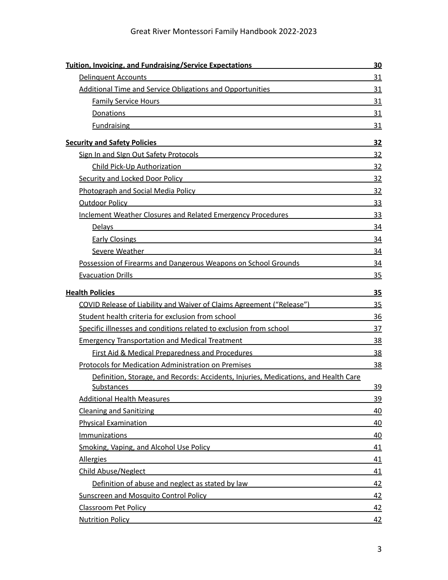| <b>Tuition, Invoicing, and Fundraising/Service Expectations</b>                                                                                                                                                                      | <u>30</u> |
|--------------------------------------------------------------------------------------------------------------------------------------------------------------------------------------------------------------------------------------|-----------|
| <b>Delinquent Accounts</b>                                                                                                                                                                                                           | 31        |
| <b>Additional Time and Service Obligations and Opportunities</b>                                                                                                                                                                     | 31        |
| <b>Family Service Hours</b><br><u> 1980 - Jan Stein Stein Stein Stein Stein Stein Stein Stein Stein Stein Stein Stein Stein Stein Stein Stein S</u>                                                                                  | 31        |
| Donations                                                                                                                                                                                                                            | 31        |
| <b>Fundraising</b>                                                                                                                                                                                                                   | 31        |
| <b>Security and Safety Policies</b>                                                                                                                                                                                                  | <u>32</u> |
| Sign In and Sign Out Safety Protocols Sign In and Sign Out Safety Protocols                                                                                                                                                          | 32        |
| Child Pick-Up Authorization<br>the contract of the contract of the contract of the contract of the contract of                                                                                                                       | 32        |
| Security and Locked Door Policy <b>Security and Locked Door Policy</b>                                                                                                                                                               | 32        |
| <b>Photograph and Social Media Policy and Social Article Social Article Social Article Social Article Social Article Social Article Social Article Social Article Social Article Social Article Social Article Social Article So</b> | 32        |
| <b>Outdoor Policy</b>                                                                                                                                                                                                                | 33        |
| Inclement Weather Closures and Related Emergency Procedures                                                                                                                                                                          | 33        |
| <b>Delays</b>                                                                                                                                                                                                                        | 34        |
| <b>Early Closings</b>                                                                                                                                                                                                                | 34        |
| Severe Weather <b>Severe Weather Severe Weather</b>                                                                                                                                                                                  | 34        |
| Possession of Firearms and Dangerous Weapons on School Grounds                                                                                                                                                                       | 34        |
| <b>Evacuation Drills</b>                                                                                                                                                                                                             | 35        |
| <b>Health Policies</b>                                                                                                                                                                                                               | 35        |
| COVID Release of Liability and Waiver of Claims Agreement ("Release")                                                                                                                                                                | 35        |
| Student health criteria for exclusion from school                                                                                                                                                                                    | 36        |
| Specific illnesses and conditions related to exclusion from school                                                                                                                                                                   | 37        |
| <b>Emergency Transportation and Medical Treatment</b>                                                                                                                                                                                | 38        |
| <b>First Aid &amp; Medical Preparedness and Procedures</b>                                                                                                                                                                           | 38        |
| <b>Protocols for Medication Administration on Premises</b>                                                                                                                                                                           | 38        |
| Definition, Storage, and Records: Accidents, Injuries, Medications, and Health Care                                                                                                                                                  |           |
| Substances                                                                                                                                                                                                                           | <u>39</u> |
|                                                                                                                                                                                                                                      | <u>39</u> |
| Cleaning and Sanitizing <b>Cleaning Cleaning Cleaning and Sanitizing</b>                                                                                                                                                             | 40        |
| <b>Physical Examination</b>                                                                                                                                                                                                          | 40        |
| Immunizations                                                                                                                                                                                                                        | 40        |
| <b>Smoking, Vaping, and Alcohol Use Policy and Alcohol Strategies and Alcohol Strategies and Strategies and Alcohol Use Policy</b>                                                                                                   | 41        |
| <b>Allergies</b>                                                                                                                                                                                                                     | 41        |
| <b>Child Abuse/Neglect</b>                                                                                                                                                                                                           | 41        |
| Definition of abuse and neglect as stated by law                                                                                                                                                                                     | 42        |
| <b>Sunscreen and Mosquito Control Policy</b>                                                                                                                                                                                         | 42        |
| Classroom Pet Policy Processor and Classroom Pet Policy                                                                                                                                                                              | <u>42</u> |
| <b>Nutrition Policy</b>                                                                                                                                                                                                              | 42        |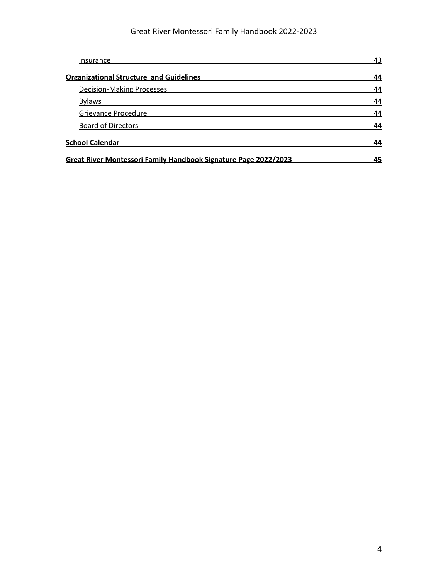| Insurance                                                       | 43 |
|-----------------------------------------------------------------|----|
| <b>Organizational Structure and Guidelines</b>                  | 44 |
| <b>Decision-Making Processes</b>                                | 44 |
| <b>Bylaws</b>                                                   | 44 |
| Grievance Procedure                                             | 44 |
| <b>Board of Directors</b>                                       | 44 |
| <b>School Calendar</b>                                          | 44 |
| Great River Montessori Family Handbook Signature Page 2022/2023 | 45 |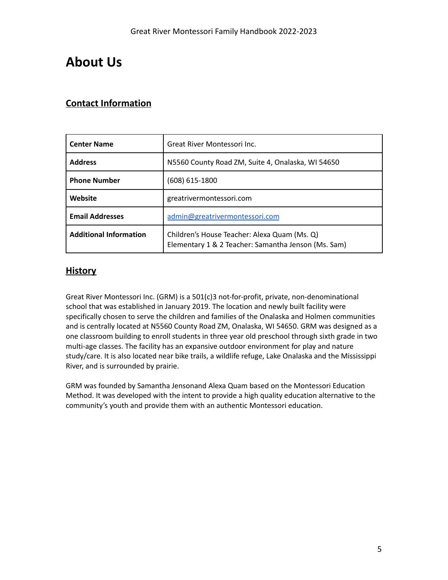## <span id="page-5-0"></span>**About Us**

## **Contact Information**

| <b>Center Name</b>            | Great River Montessori Inc.                                                                         |  |
|-------------------------------|-----------------------------------------------------------------------------------------------------|--|
| <b>Address</b>                | N5560 County Road ZM, Suite 4, Onalaska, WI 54650                                                   |  |
| <b>Phone Number</b>           | $(608)$ 615-1800                                                                                    |  |
| Website                       | greatrivermontessori.com                                                                            |  |
| <b>Email Addresses</b>        | admin@greatrivermontessori.com                                                                      |  |
| <b>Additional Information</b> | Children's House Teacher: Alexa Quam (Ms. Q)<br>Elementary 1 & 2 Teacher: Samantha Jenson (Ms. Sam) |  |

#### **History**

Great River Montessori Inc. (GRM) is a 501(c)3 not-for-profit, private, non-denominational school that was established in January 2019. The location and newly built facility were specifically chosen to serve the children and families of the Onalaska and Holmen communities and is centrally located at N5560 County Road ZM, Onalaska, WI 54650. GRM was designed as a one classroom building to enroll students in three year old preschool through sixth grade in two multi-age classes. The facility has an expansive outdoor environment for play and nature study/care. It is also located near bike trails, a wildlife refuge, Lake Onalaska and the Mississippi River, and is surrounded by prairie.

GRM was founded by Samantha Jensonand Alexa Quam based on the Montessori Education Method. It was developed with the intent to provide a high quality education alternative to the community's youth and provide them with an authentic Montessori education.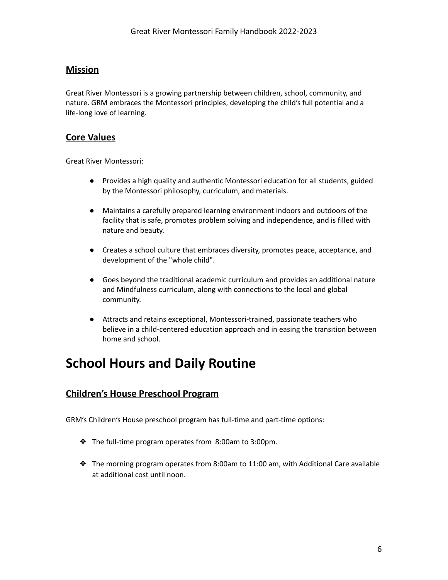## <span id="page-6-0"></span>**Mission**

Great River Montessori is a growing partnership between children, school, community, and nature. GRM embraces the Montessori principles, developing the child's full potential and a life-long love of learning.

#### <span id="page-6-1"></span>**Core Values**

Great River Montessori:

- Provides a high quality and authentic Montessori education for all students, guided by the Montessori philosophy, curriculum, and materials.
- Maintains a carefully prepared learning environment indoors and outdoors of the facility that is safe, promotes problem solving and independence, and is filled with nature and beauty.
- Creates a school culture that embraces diversity, promotes peace, acceptance, and development of the "whole child".
- Goes beyond the traditional academic curriculum and provides an additional nature and Mindfulness curriculum, along with connections to the local and global community.
- Attracts and retains exceptional, Montessori-trained, passionate teachers who believe in a child-centered education approach and in easing the transition between home and school.

## <span id="page-6-2"></span>**School Hours and Daily Routine**

## <span id="page-6-3"></span>**Children's House Preschool Program**

GRM's Children's House preschool program has full-time and part-time options:

- ❖ The full-time program operates from 8:00am to 3:00pm.
- $\triangle$  The morning program operates from 8:00am to 11:00 am, with Additional Care available at additional cost until noon.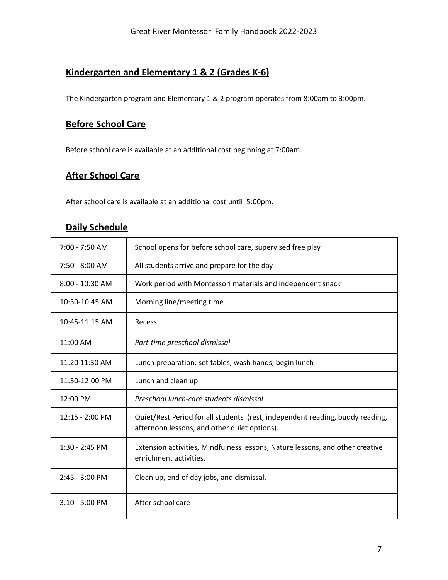## <span id="page-7-0"></span>**Kindergarten and Elementary 1 & 2 (Grades K-6)**

<span id="page-7-1"></span>The Kindergarten program and Elementary 1 & 2 program operates from 8:00am to 3:00pm.

## **Before School Care**

<span id="page-7-2"></span>Before school care is available at an additional cost beginning at 7:00am.

## **After School Care**

<span id="page-7-3"></span>After school care is available at an additional cost until 5:00pm.

## **Daily Schedule**

| 7:00 - 7:50 AM            | School opens for before school care, supervised free play                                                                     |
|---------------------------|-------------------------------------------------------------------------------------------------------------------------------|
| $7:50 - 8:00$ AM          | All students arrive and prepare for the day                                                                                   |
| $8:00 - 10:30$ AM         | Work period with Montessori materials and independent snack                                                                   |
| 10:30-10:45 AM            | Morning line/meeting time                                                                                                     |
| 10:45-11:15 AM            | Recess                                                                                                                        |
| 11:00 AM                  | Part-time preschool dismissal                                                                                                 |
| 11:20 11:30 AM            | Lunch preparation: set tables, wash hands, begin lunch                                                                        |
| 11:30-12:00 PM            | Lunch and clean up                                                                                                            |
| 12:00 PM                  | Preschool lunch-care students dismissal                                                                                       |
| $12:15 - 2:00 \text{ PM}$ | Quiet/Rest Period for all students (rest, independent reading, buddy reading,<br>afternoon lessons, and other quiet options). |
| $1:30 - 2:45$ PM          | Extension activities, Mindfulness lessons, Nature lessons, and other creative<br>enrichment activities.                       |
| 2:45 - 3:00 PM            | Clean up, end of day jobs, and dismissal.                                                                                     |
| $3:10 - 5:00$ PM          | After school care                                                                                                             |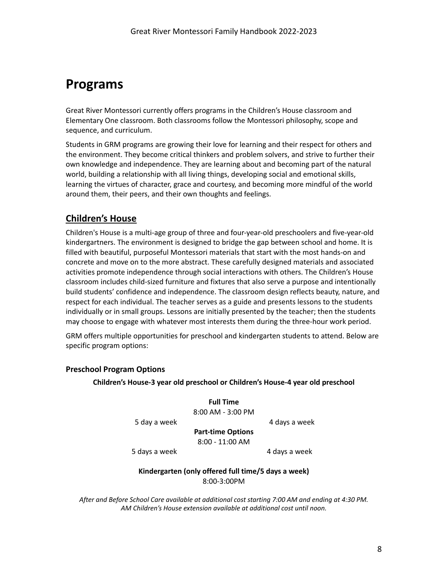## <span id="page-8-0"></span>**Programs**

Great River Montessori currently offers programs in the Children's House classroom and Elementary One classroom. Both classrooms follow the Montessori philosophy, scope and sequence, and curriculum.

Students in GRM programs are growing their love for learning and their respect for others and the environment. They become critical thinkers and problem solvers, and strive to further their own knowledge and independence. They are learning about and becoming part of the natural world, building a relationship with all living things, developing social and emotional skills, learning the virtues of character, grace and courtesy, and becoming more mindful of the world around them, their peers, and their own thoughts and feelings.

#### <span id="page-8-1"></span>**Children's House**

Children's House is a multi-age group of three and four-year-old preschoolers and five-year-old kindergartners. The environment is designed to bridge the gap between school and home. It is filled with beautiful, purposeful Montessori materials that start with the most hands-on and concrete and move on to the more abstract. These carefully designed materials and associated activities promote independence through social interactions with others. The Children's House classroom includes child-sized furniture and fixtures that also serve a purpose and intentionally build students' confidence and independence. The classroom design reflects beauty, nature, and respect for each individual. The teacher serves as a guide and presents lessons to the students individually or in small groups. Lessons are initially presented by the teacher; then the students may choose to engage with whatever most interests them during the three-hour work period.

GRM offers multiple opportunities for preschool and kindergarten students to attend. Below are specific program options:

#### **Preschool Program Options**

**Children's House-3 year old preschool or Children's House-4 year old preschool**

**Full Time** 8:00 AM - 3:00 PM

5 day a week 4 days a week

**Part-time Options** 8:00 - 11:00 AM

5 days a week 4 days a week

#### **Kindergarten (only offered full time/5 days a week)** 8:00-3:00PM

<span id="page-8-2"></span>*After and Before School Care available at additional cost starting 7:00 AM and ending at 4:30 PM. AM Children's House extension available at additional cost until noon.*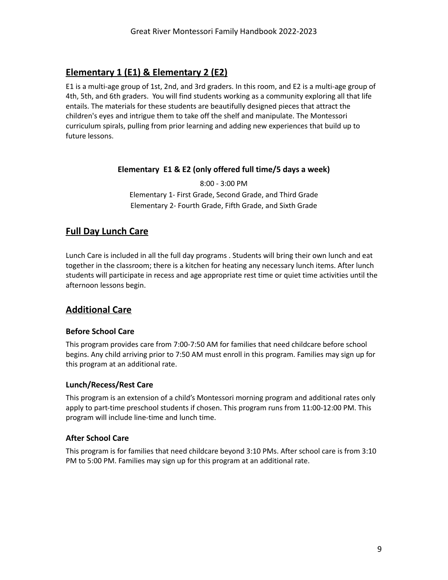#### <span id="page-9-0"></span>**Elementary 1 (E1) & Elementary 2 (E2)**

E1 is a multi-age group of 1st, 2nd, and 3rd graders. In this room, and E2 is a multi-age group of 4th, 5th, and 6th graders. You will find students working as a community exploring all that life entails. The materials for these students are beautifully designed pieces that attract the children's eyes and intrigue them to take off the shelf and manipulate. The Montessori curriculum spirals, pulling from prior learning and adding new experiences that build up to future lessons.

#### <span id="page-9-1"></span>**Elementary E1 & E2 (only offered full time/5 days a week)**

8:00 - 3:00 PM Elementary 1- First Grade, Second Grade, and Third Grade Elementary 2- Fourth Grade, Fifth Grade, and Sixth Grade

## <span id="page-9-2"></span>**Full Day Lunch Care**

Lunch Care is included in all the full day programs . Students will bring their own lunch and eat together in the classroom; there is a kitchen for heating any necessary lunch items. After lunch students will participate in recess and age appropriate rest time or quiet time activities until the afternoon lessons begin.

## <span id="page-9-3"></span>**Additional Care**

#### <span id="page-9-4"></span>**Before School Care**

This program provides care from 7:00-7:50 AM for families that need childcare before school begins. Any child arriving prior to 7:50 AM must enroll in this program. Families may sign up for this program at an additional rate.

#### <span id="page-9-5"></span>**Lunch/Recess/Rest Care**

This program is an extension of a child's Montessori morning program and additional rates only apply to part-time preschool students if chosen. This program runs from 11:00-12:00 PM. This program will include line-time and lunch time.

#### <span id="page-9-6"></span>**After School Care**

This program is for families that need childcare beyond 3:10 PMs. After school care is from 3:10 PM to 5:00 PM. Families may sign up for this program at an additional rate.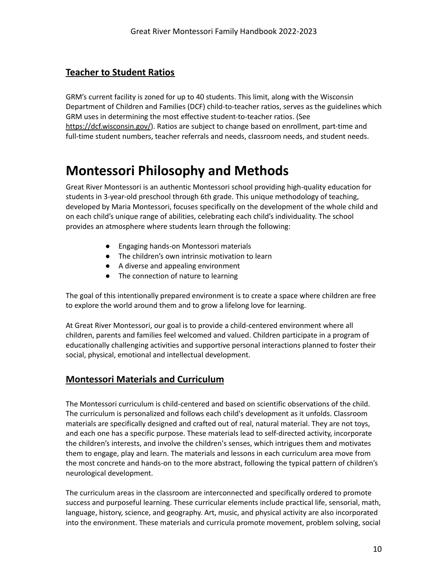#### **Teacher to Student Ratios**

GRM's current facility is zoned for up to 40 students. This limit, along with the Wisconsin Department of Children and Families (DCF) child-to-teacher ratios, serves as the guidelines which GRM uses in determining the most effective student-to-teacher ratios. (See [https://dcf.wisconsin.gov/](https://dcf.wisconsin.gov/files/forms/pdf/0078.pdf)). Ratios are subject to change based on enrollment, part-time and full-time student numbers, teacher referrals and needs, classroom needs, and student needs.

## <span id="page-10-0"></span>**Montessori Philosophy and Methods**

Great River Montessori is an authentic Montessori school providing high-quality education for students in 3-year-old preschool through 6th grade. This unique methodology of teaching, developed by Maria Montessori, focuses specifically on the development of the whole child and on each child's unique range of abilities, celebrating each child's individuality. The school provides an atmosphere where students learn through the following:

- Engaging hands-on Montessori materials
- The children's own intrinsic motivation to learn
- A diverse and appealing environment
- The connection of nature to learning

The goal of this intentionally prepared environment is to create a space where children are free to explore the world around them and to grow a lifelong love for learning.

At Great River Montessori, our goal is to provide a child-centered environment where all children, parents and families feel welcomed and valued. Children participate in a program of educationally challenging activities and supportive personal interactions planned to foster their social, physical, emotional and intellectual development.

#### <span id="page-10-1"></span>**Montessori Materials and Curriculum**

The Montessori curriculum is child-centered and based on scientific observations of the child. The curriculum is personalized and follows each child's development as it unfolds. Classroom materials are specifically designed and crafted out of real, natural material. They are not toys, and each one has a specific purpose. These materials lead to self-directed activity, incorporate the children's interests, and involve the children's senses, which intrigues them and motivates them to engage, play and learn. The materials and lessons in each curriculum area move from the most concrete and hands-on to the more abstract, following the typical pattern of children's neurological development.

The curriculum areas in the classroom are interconnected and specifically ordered to promote success and purposeful learning. These curricular elements include practical life, sensorial, math, language, history, science, and geography. Art, music, and physical activity are also incorporated into the environment. These materials and curricula promote movement, problem solving, social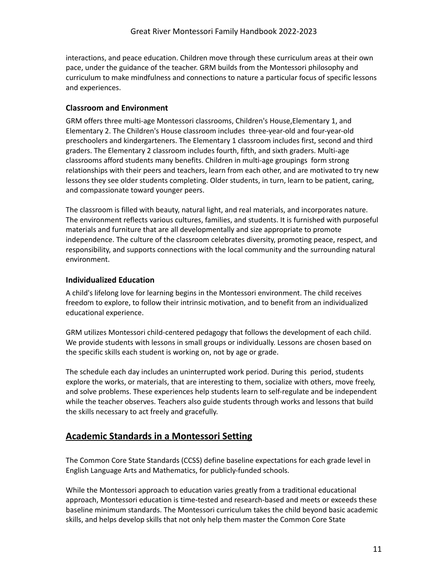interactions, and peace education. Children move through these curriculum areas at their own pace, under the guidance of the teacher. GRM builds from the Montessori philosophy and curriculum to make mindfulness and connections to nature a particular focus of specific lessons and experiences.

#### <span id="page-11-0"></span>**Classroom and Environment**

GRM offers three multi-age Montessori classrooms, Children's House,Elementary 1, and Elementary 2. The Children's House classroom includes three-year-old and four-year-old preschoolers and kindergarteners. The Elementary 1 classroom includes first, second and third graders. The Elementary 2 classroom includes fourth, fifth, and sixth graders. Multi-age classrooms afford students many benefits. Children in multi-age groupings form strong relationships with their peers and teachers, learn from each other, and are motivated to try new lessons they see older students completing. Older students, in turn, learn to be patient, caring, and compassionate toward younger peers.

The classroom is filled with beauty, natural light, and real materials, and incorporates nature. The environment reflects various cultures, families, and students. It is furnished with purposeful materials and furniture that are all developmentally and size appropriate to promote independence. The culture of the classroom celebrates diversity, promoting peace, respect, and responsibility, and supports connections with the local community and the surrounding natural environment.

#### <span id="page-11-1"></span>**Individualized Education**

A child's lifelong love for learning begins in the Montessori environment. The child receives freedom to explore, to follow their intrinsic motivation, and to benefit from an individualized educational experience.

GRM utilizes Montessori child-centered pedagogy that follows the development of each child. We provide students with lessons in small groups or individually. Lessons are chosen based on the specific skills each student is working on, not by age or grade.

The schedule each day includes an uninterrupted work period. During this period, students explore the works, or materials, that are interesting to them, socialize with others, move freely, and solve problems. These experiences help students learn to self-regulate and be independent while the teacher observes. Teachers also guide students through works and lessons that build the skills necessary to act freely and gracefully.

#### <span id="page-11-2"></span>**Academic Standards in a Montessori Setting**

The Common Core State Standards (CCSS) define baseline expectations for each grade level in English Language Arts and Mathematics, for publicly-funded schools.

While the Montessori approach to education varies greatly from a traditional educational approach, Montessori education is time-tested and research-based and meets or exceeds these baseline minimum standards. The Montessori curriculum takes the child beyond basic academic skills, and helps develop skills that not only help them master the Common Core State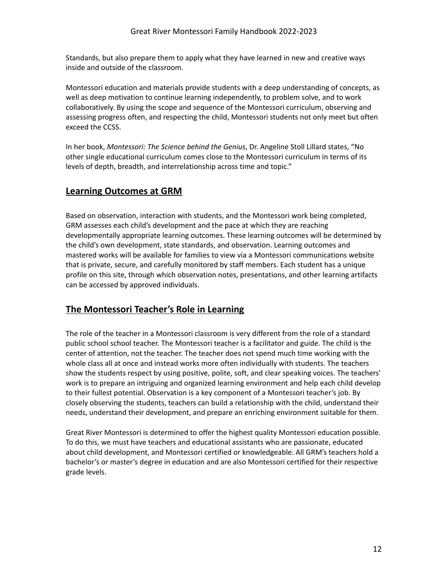Standards, but also prepare them to apply what they have learned in new and creative ways inside and outside of the classroom.

Montessori education and materials provide students with a deep understanding of concepts, as well as deep motivation to continue learning independently, to problem solve, and to work collaboratively. By using the scope and sequence of the Montessori curriculum, observing and assessing progress often, and respecting the child, Montessori students not only meet but often exceed the CCSS.

In her book, *[Montessori:](http://www.amazon.com/gp/product/019536936X/ref=s9_psimh_gw_p14_d0_i1?pf_rd_m=ATVPDKIKX0DER&pf_rd_s=center-2&pf_rd_r=0BEP6AXBFBYVYDP1CD19&pf_rd_t=101&pf_rd_p=1389517282&pf_rd_i=507846) The Science behind the Genius*, Dr. Angeline Stoll Lillard states, "No other single educational curriculum comes close to the Montessori curriculum in terms of its levels of depth, breadth, and interrelationship across time and topic."

## <span id="page-12-0"></span>**Learning Outcomes at GRM**

Based on observation, interaction with students, and the Montessori work being completed, GRM assesses each child's development and the pace at which they are reaching developmentally appropriate learning outcomes. These learning outcomes will be determined by the child's own development, state standards, and observation. Learning outcomes and mastered works will be available for families to view via a Montessori communications website that is private, secure, and carefully monitored by staff members. Each student has a unique profile on this site, through which observation notes, presentations, and other learning artifacts can be accessed by approved individuals.

## <span id="page-12-1"></span>**The Montessori Teacher's Role in Learning**

The role of the teacher in a Montessori classroom is very different from the role of a standard public school school teacher. The Montessori teacher is a facilitator and guide. The child is the center of attention, not the teacher. The teacher does not spend much time working with the whole class all at once and instead works more often individually with students. The teachers show the students respect by using positive, polite, soft, and clear speaking voices. The teachers' work is to prepare an intriguing and organized learning environment and help each child develop to their fullest potential. Observation is a key component of a Montessori teacher's job. By closely observing the students, teachers can build a relationship with the child, understand their needs, understand their development, and prepare an enriching environment suitable for them.

Great River Montessori is determined to offer the highest quality Montessori education possible. To do this, we must have teachers and educational assistants who are passionate, educated about child development, and Montessori certified or knowledgeable. All GRM's teachers hold a bachelor's or master's degree in education and are also Montessori certified for their respective grade levels.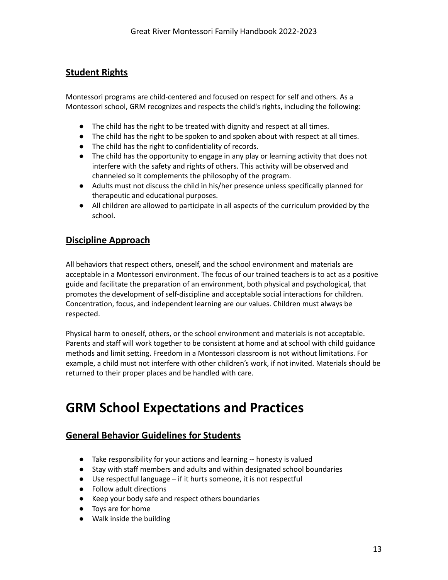#### **Student Rights**

Montessori programs are child-centered and focused on respect for self and others. As a Montessori school, GRM recognizes and respects the child's rights, including the following:

- The child has the right to be treated with dignity and respect at all times.
- The child has the right to be spoken to and spoken about with respect at all times.
- The child has the right to confidentiality of records.
- The child has the opportunity to engage in any play or learning activity that does not interfere with the safety and rights of others. This activity will be observed and channeled so it complements the philosophy of the program.
- Adults must not discuss the child in his/her presence unless specifically planned for therapeutic and educational purposes.
- All children are allowed to participate in all aspects of the curriculum provided by the school.

#### <span id="page-13-0"></span>**Discipline Approach**

All behaviors that respect others, oneself, and the school environment and materials are acceptable in a Montessori environment. The focus of our trained teachers is to act as a positive guide and facilitate the preparation of an environment, both physical and psychological, that promotes the development of self-discipline and acceptable social interactions for children. Concentration, focus, and independent learning are our values. Children must always be respected.

Physical harm to oneself, others, or the school environment and materials is not acceptable. Parents and staff will work together to be consistent at home and at school with child guidance methods and limit setting. Freedom in a Montessori classroom is not without limitations. For example, a child must not interfere with other children's work, if not invited. Materials should be returned to their proper places and be handled with care.

## <span id="page-13-1"></span>**GRM School Expectations and Practices**

#### <span id="page-13-2"></span>**General Behavior Guidelines for Students**

- Take responsibility for your actions and learning -- honesty is valued
- Stay with staff members and adults and within designated school boundaries
- Use respectful language if it hurts someone, it is not respectful
- Follow adult directions
- Keep your body safe and respect others boundaries
- Toys are for home
- Walk inside the building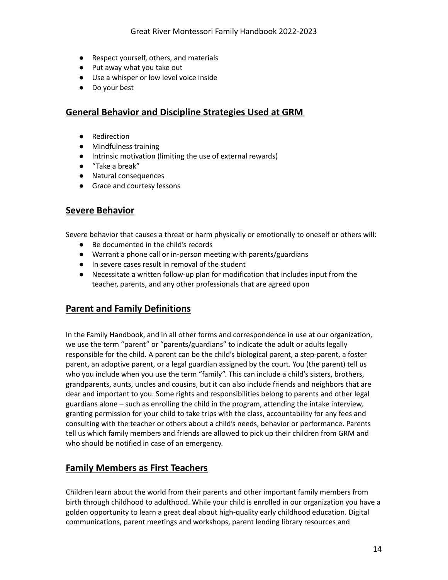- Respect yourself, others, and materials
- Put away what you take out
- Use a whisper or low level voice inside
- Do your best

#### <span id="page-14-0"></span>**General Behavior and Discipline Strategies Used at GRM**

- Redirection
- Mindfulness training
- Intrinsic motivation (limiting the use of external rewards)
- "Take a break"
- Natural consequences
- Grace and courtesy lessons

#### <span id="page-14-1"></span>**Severe Behavior**

Severe behavior that causes a threat or harm physically or emotionally to oneself or others will:

- Be documented in the child's records
- Warrant a phone call or in-person meeting with parents/guardians
- In severe cases result in removal of the student
- Necessitate a written follow-up plan for modification that includes input from the teacher, parents, and any other professionals that are agreed upon

#### <span id="page-14-2"></span>**Parent and Family Definitions**

In the Family Handbook, and in all other forms and correspondence in use at our organization, we use the term "parent" or "parents/guardians" to indicate the adult or adults legally responsible for the child. A parent can be the child's biological parent, a step-parent, a foster parent, an adoptive parent, or a legal guardian assigned by the court. You (the parent) tell us who you include when you use the term "family". This can include a child's sisters, brothers, grandparents, aunts, uncles and cousins, but it can also include friends and neighbors that are dear and important to you. Some rights and responsibilities belong to parents and other legal guardians alone – such as enrolling the child in the program, attending the intake interview, granting permission for your child to take trips with the class, accountability for any fees and consulting with the teacher or others about a child's needs, behavior or performance. Parents tell us which family members and friends are allowed to pick up their children from GRM and who should be notified in case of an emergency.

#### <span id="page-14-3"></span>**Family Members as First Teachers**

Children learn about the world from their parents and other important family members from birth through childhood to adulthood. While your child is enrolled in our organization you have a golden opportunity to learn a great deal about high-quality early childhood education. Digital communications, parent meetings and workshops, parent lending library resources and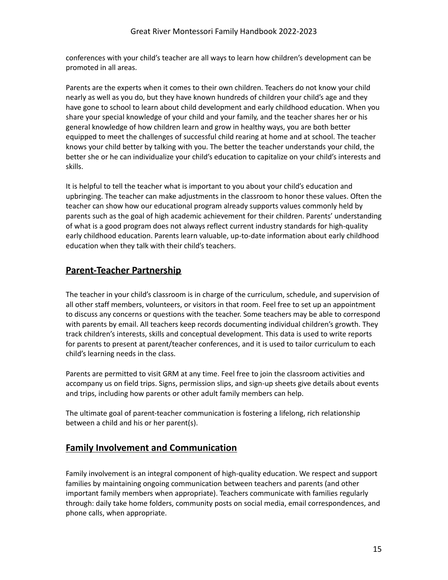conferences with your child's teacher are all ways to learn how children's development can be promoted in all areas.

Parents are the experts when it comes to their own children. Teachers do not know your child nearly as well as you do, but they have known hundreds of children your child's age and they have gone to school to learn about child development and early childhood education. When you share your special knowledge of your child and your family, and the teacher shares her or his general knowledge of how children learn and grow in healthy ways, you are both better equipped to meet the challenges of successful child rearing at home and at school. The teacher knows your child better by talking with you. The better the teacher understands your child, the better she or he can individualize your child's education to capitalize on your child's interests and skills.

It is helpful to tell the teacher what is important to you about your child's education and upbringing. The teacher can make adjustments in the classroom to honor these values. Often the teacher can show how our educational program already supports values commonly held by parents such as the goal of high academic achievement for their children. Parents' understanding of what is a good program does not always reflect current industry standards for high-quality early childhood education. Parents learn valuable, up-to-date information about early childhood education when they talk with their child's teachers.

#### <span id="page-15-0"></span>**Parent-Teacher Partnership**

The teacher in your child's classroom is in charge of the curriculum, schedule, and supervision of all other staff members, volunteers, or visitors in that room. Feel free to set up an appointment to discuss any concerns or questions with the teacher. Some teachers may be able to correspond with parents by email. All teachers keep records documenting individual children's growth. They track children's interests, skills and conceptual development. This data is used to write reports for parents to present at parent/teacher conferences, and it is used to tailor curriculum to each child's learning needs in the class.

Parents are permitted to visit GRM at any time. Feel free to join the classroom activities and accompany us on field trips. Signs, permission slips, and sign-up sheets give details about events and trips, including how parents or other adult family members can help.

The ultimate goal of parent-teacher communication is fostering a lifelong, rich relationship between a child and his or her parent(s).

#### <span id="page-15-1"></span>**Family Involvement and Communication**

Family involvement is an integral component of high-quality education. We respect and support families by maintaining ongoing communication between teachers and parents (and other important family members when appropriate). Teachers communicate with families regularly through: daily take home folders, community posts on social media, email correspondences, and phone calls, when appropriate.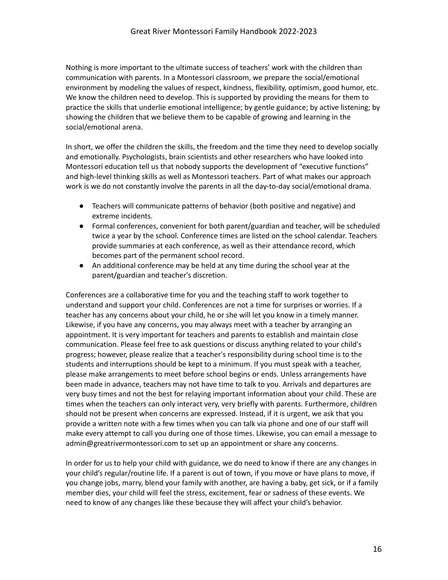Nothing is more important to the ultimate success of teachers' work with the children than communication with parents. In a Montessori classroom, we prepare the social/emotional environment by modeling the values of respect, kindness, flexibility, optimism, good humor, etc. We know the children need to develop. This is supported by providing the means for them to practice the skills that underlie emotional intelligence; by gentle guidance; by active listening; by showing the children that we believe them to be capable of growing and learning in the social/emotional arena.

In short, we offer the children the skills, the freedom and the time they need to develop socially and emotionally. Psychologists, brain scientists and other researchers who have looked into Montessori education tell us that nobody supports the development of "executive functions" and high-level thinking skills as well as Montessori teachers. Part of what makes our approach work is we do not constantly involve the parents in all the day-to-day social/emotional drama.

- Teachers will communicate patterns of behavior (both positive and negative) and extreme incidents.
- Formal conferences, convenient for both parent/guardian and teacher, will be scheduled twice a year by the school. Conference times are listed on the school calendar. Teachers provide summaries at each conference, as well as their attendance record, which becomes part of the permanent school record.
- An additional conference may be held at any time during the school year at the parent/guardian and teacher's discretion.

Conferences are a collaborative time for you and the teaching staff to work together to understand and support your child. Conferences are not a time for surprises or worries. If a teacher has any concerns about your child, he or she will let you know in a timely manner. Likewise, if you have any concerns, you may always meet with a teacher by arranging an appointment. It is very important for teachers and parents to establish and maintain close communication. Please feel free to ask questions or discuss anything related to your child's progress; however, please realize that a teacher's responsibility during school time is to the students and interruptions should be kept to a minimum. If you must speak with a teacher, please make arrangements to meet before school begins or ends. Unless arrangements have been made in advance, teachers may not have time to talk to you. Arrivals and departures are very busy times and not the best for relaying important information about your child. These are times when the teachers can only interact very, very briefly with parents. Furthermore, children should not be present when concerns are expressed. Instead, if it is urgent, we ask that you provide a written note with a few times when you can talk via phone and one of our staff will make every attempt to call you during one of those times. Likewise, you can email a message to admin@greatrivermontessori.com to set up an appointment or share any concerns.

In order for us to help your child with guidance, we do need to know if there are any changes in your child's regular/routine life. If a parent is out of town, if you move or have plans to move, if you change jobs, marry, blend your family with another, are having a baby, get sick, or if a family member dies, your child will feel the stress, excitement, fear or sadness of these events. We need to know of any changes like these because they will affect your child's behavior.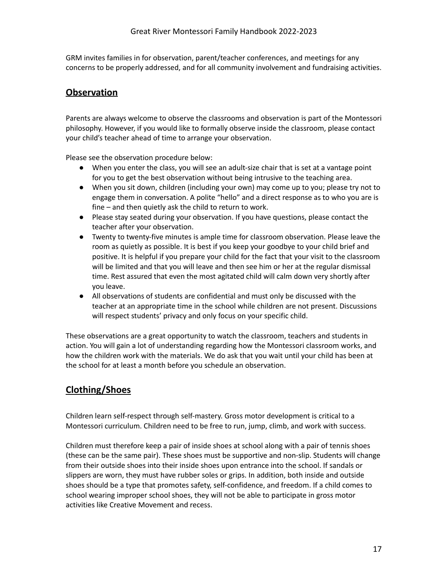GRM invites families in for observation, parent/teacher conferences, and meetings for any concerns to be properly addressed, and for all community involvement and fundraising activities.

#### <span id="page-17-0"></span>**Observation**

Parents are always welcome to observe the classrooms and observation is part of the Montessori philosophy. However, if you would like to formally observe inside the classroom, please contact your child's teacher ahead of time to arrange your observation.

Please see the observation procedure below:

- When you enter the class, you will see an adult-size chair that is set at a vantage point for you to get the best observation without being intrusive to the teaching area.
- When you sit down, children (including your own) may come up to you; please try not to engage them in conversation. A polite "hello" and a direct response as to who you are is fine – and then quietly ask the child to return to work.
- Please stay seated during your observation. If you have questions, please contact the teacher after your observation.
- Twenty to twenty-five minutes is ample time for classroom observation. Please leave the room as quietly as possible. It is best if you keep your goodbye to your child brief and positive. It is helpful if you prepare your child for the fact that your visit to the classroom will be limited and that you will leave and then see him or her at the regular dismissal time. Rest assured that even the most agitated child will calm down very shortly after you leave.
- All observations of students are confidential and must only be discussed with the teacher at an appropriate time in the school while children are not present. Discussions will respect students' privacy and only focus on your specific child.

These observations are a great opportunity to watch the classroom, teachers and students in action. You will gain a lot of understanding regarding how the Montessori classroom works, and how the children work with the materials. We do ask that you wait until your child has been at the school for at least a month before you schedule an observation.

## <span id="page-17-1"></span>**Clothing/Shoes**

Children learn self-respect through self-mastery. Gross motor development is critical to a Montessori curriculum. Children need to be free to run, jump, climb, and work with success.

Children must therefore keep a pair of inside shoes at school along with a pair of tennis shoes (these can be the same pair). These shoes must be supportive and non-slip. Students will change from their outside shoes into their inside shoes upon entrance into the school. If sandals or slippers are worn, they must have rubber soles or grips. In addition, both inside and outside shoes should be a type that promotes safety, self-confidence, and freedom. If a child comes to school wearing improper school shoes, they will not be able to participate in gross motor activities like Creative Movement and recess.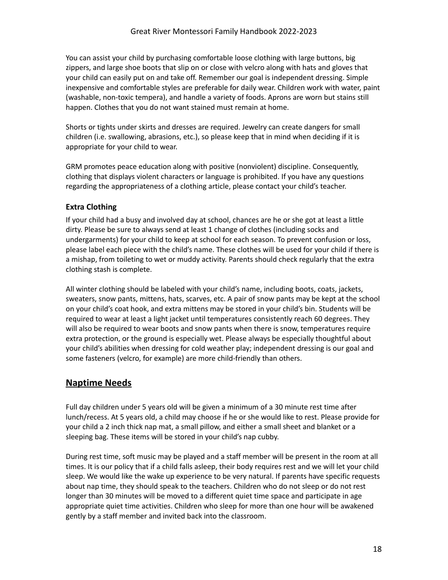You can assist your child by purchasing comfortable loose clothing with large buttons, big zippers, and large shoe boots that slip on or close with velcro along with hats and gloves that your child can easily put on and take off. Remember our goal is independent dressing. Simple inexpensive and comfortable styles are preferable for daily wear. Children work with water, paint (washable, non-toxic tempera), and handle a variety of foods. Aprons are worn but stains still happen. Clothes that you do not want stained must remain at home.

Shorts or tights under skirts and dresses are required. Jewelry can create dangers for small children (i.e. swallowing, abrasions, etc.), so please keep that in mind when deciding if it is appropriate for your child to wear.

GRM promotes peace education along with positive (nonviolent) discipline. Consequently, clothing that displays violent characters or language is prohibited. If you have any questions regarding the appropriateness of a clothing article, please contact your child's teacher.

#### <span id="page-18-0"></span>**Extra Clothing**

If your child had a busy and involved day at school, chances are he or she got at least a little dirty. Please be sure to always send at least 1 change of clothes (including socks and undergarments) for your child to keep at school for each season. To prevent confusion or loss, please label each piece with the child's name. These clothes will be used for your child if there is a mishap, from toileting to wet or muddy activity. Parents should check regularly that the extra clothing stash is complete.

All winter clothing should be labeled with your child's name, including boots, coats, jackets, sweaters, snow pants, mittens, hats, scarves, etc. A pair of snow pants may be kept at the school on your child's coat hook, and extra mittens may be stored in your child's bin. Students will be required to wear at least a light jacket until temperatures consistently reach 60 degrees. They will also be required to wear boots and snow pants when there is snow, temperatures require extra protection, or the ground is especially wet. Please always be especially thoughtful about your child's abilities when dressing for cold weather play; independent dressing is our goal and some fasteners (velcro, for example) are more child-friendly than others.

#### <span id="page-18-1"></span>**Naptime Needs**

Full day children under 5 years old will be given a minimum of a 30 minute rest time after lunch/recess. At 5 years old, a child may choose if he or she would like to rest. Please provide for your child a 2 inch thick nap mat, a small pillow, and either a small sheet and blanket or a sleeping bag. These items will be stored in your child's nap cubby.

During rest time, soft music may be played and a staff member will be present in the room at all times. It is our policy that if a child falls asleep, their body requires rest and we will let your child sleep. We would like the wake up experience to be very natural. If parents have specific requests about nap time, they should speak to the teachers. Children who do not sleep or do not rest longer than 30 minutes will be moved to a different quiet time space and participate in age appropriate quiet time activities. Children who sleep for more than one hour will be awakened gently by a staff member and invited back into the classroom.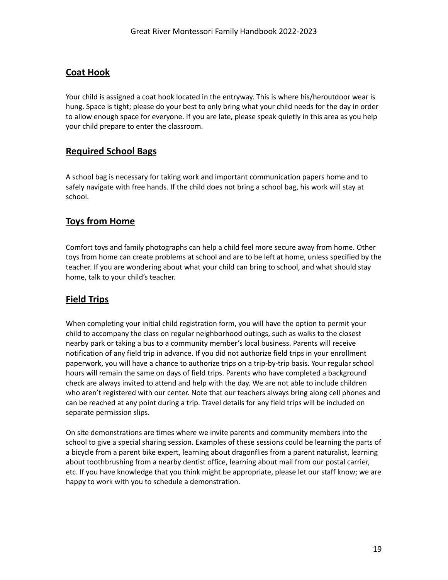#### <span id="page-19-0"></span>**Coat Hook**

Your child is assigned a coat hook located in the entryway. This is where his/heroutdoor wear is hung. Space is tight; please do your best to only bring what your child needs for the day in order to allow enough space for everyone. If you are late, please speak quietly in this area as you help your child prepare to enter the classroom.

#### <span id="page-19-1"></span>**Required School Bags**

A school bag is necessary for taking work and important communication papers home and to safely navigate with free hands. If the child does not bring a school bag, his work will stay at school.

#### <span id="page-19-2"></span>**Toys from Home**

Comfort toys and family photographs can help a child feel more secure away from home. Other toys from home can create problems at school and are to be left at home, unless specified by the teacher. If you are wondering about what your child can bring to school, and what should stay home, talk to your child's teacher.

## <span id="page-19-3"></span>**Field Trips**

When completing your initial child registration form, you will have the option to permit your child to accompany the class on regular neighborhood outings, such as walks to the closest nearby park or taking a bus to a community member's local business. Parents will receive notification of any field trip in advance. If you did not authorize field trips in your enrollment paperwork, you will have a chance to authorize trips on a trip-by-trip basis. Your regular school hours will remain the same on days of field trips. Parents who have completed a background check are always invited to attend and help with the day. We are not able to include children who aren't registered with our center. Note that our teachers always bring along cell phones and can be reached at any point during a trip. Travel details for any field trips will be included on separate permission slips.

On site demonstrations are times where we invite parents and community members into the school to give a special sharing session. Examples of these sessions could be learning the parts of a bicycle from a parent bike expert, learning about dragonflies from a parent naturalist, learning about toothbrushing from a nearby dentist office, learning about mail from our postal carrier, etc. If you have knowledge that you think might be appropriate, please let our staff know; we are happy to work with you to schedule a demonstration.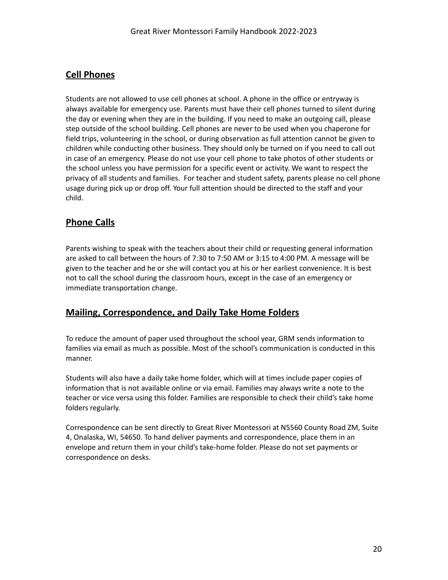#### **Cell Phones**

Students are not allowed to use cell phones at school. A phone in the office or entryway is always available for emergency use. Parents must have their cell phones turned to silent during the day or evening when they are in the building. If you need to make an outgoing call, please step outside of the school building. Cell phones are never to be used when you chaperone for field trips, volunteering in the school, or during observation as full attention cannot be given to children while conducting other business. They should only be turned on if you need to call out in case of an emergency. Please do not use your cell phone to take photos of other students or the school unless you have permission for a specific event or activity. We want to respect the privacy of all students and families. For teacher and student safety, parents please no cell phone usage during pick up or drop off. Your full attention should be directed to the staff and your child.

## <span id="page-20-0"></span>**Phone Calls**

Parents wishing to speak with the teachers about their child or requesting general information are asked to call between the hours of 7:30 to 7:50 AM or 3:15 to 4:00 PM. A message will be given to the teacher and he or she will contact you at his or her earliest convenience. It is best not to call the school during the classroom hours, except in the case of an emergency or immediate transportation change.

#### <span id="page-20-1"></span>**Mailing, Correspondence, and Daily Take Home Folders**

To reduce the amount of paper used throughout the school year, GRM sends information to families via email as much as possible. Most of the school's communication is conducted in this manner.

Students will also have a daily take home folder, which will at times include paper copies of information that is not available online or via email. Families may always write a note to the teacher or vice versa using this folder. Families are responsible to check their child's take home folders regularly.

Correspondence can be sent directly to Great River Montessori at N5560 County Road ZM, Suite 4, Onalaska, WI, 54650. To hand deliver payments and correspondence, place them in an envelope and return them in your child's take-home folder. Please do not set payments or correspondence on desks.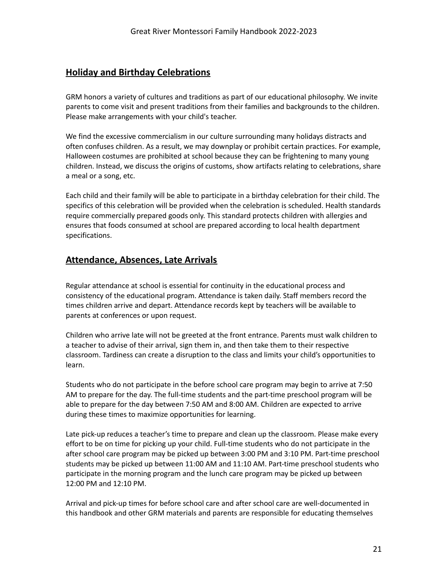#### **Holiday and Birthday Celebrations**

GRM honors a variety of cultures and traditions as part of our educational philosophy. We invite parents to come visit and present traditions from their families and backgrounds to the children. Please make arrangements with your child's teacher.

We find the excessive commercialism in our culture surrounding many holidays distracts and often confuses children. As a result, we may downplay or prohibit certain practices. For example, Halloween costumes are prohibited at school because they can be frightening to many young children. Instead, we discuss the origins of customs, show artifacts relating to celebrations, share a meal or a song, etc.

Each child and their family will be able to participate in a birthday celebration for their child. The specifics of this celebration will be provided when the celebration is scheduled. Health standards require commercially prepared goods only. This standard protects children with allergies and ensures that foods consumed at school are prepared according to local health department specifications.

#### <span id="page-21-0"></span>**Attendance, Absences, Late Arrivals**

Regular attendance at school is essential for continuity in the educational process and consistency of the educational program. Attendance is taken daily. Staff members record the times children arrive and depart. Attendance records kept by teachers will be available to parents at conferences or upon request.

Children who arrive late will not be greeted at the front entrance. Parents must walk children to a teacher to advise of their arrival, sign them in, and then take them to their respective classroom. Tardiness can create a disruption to the class and limits your child's opportunities to learn.

Students who do not participate in the before school care program may begin to arrive at 7:50 AM to prepare for the day. The full-time students and the part-time preschool program will be able to prepare for the day between 7:50 AM and 8:00 AM. Children are expected to arrive during these times to maximize opportunities for learning.

Late pick-up reduces a teacher's time to prepare and clean up the classroom. Please make every effort to be on time for picking up your child. Full-time students who do not participate in the after school care program may be picked up between 3:00 PM and 3:10 PM. Part-time preschool students may be picked up between 11:00 AM and 11:10 AM. Part-time preschool students who participate in the morning program and the lunch care program may be picked up between 12:00 PM and 12:10 PM.

Arrival and pick-up times for before school care and after school care are well-documented in this handbook and other GRM materials and parents are responsible for educating themselves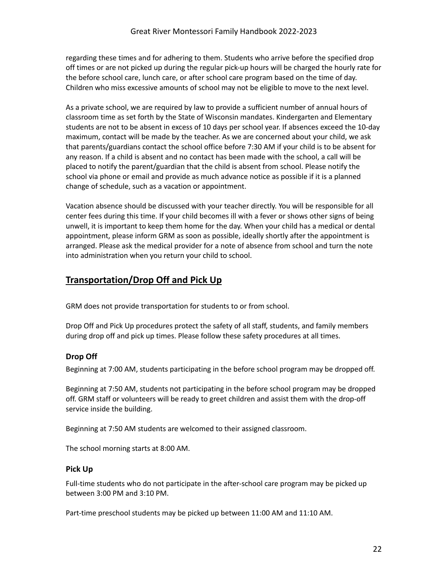regarding these times and for adhering to them. Students who arrive before the specified drop off times or are not picked up during the regular pick-up hours will be charged the hourly rate for the before school care, lunch care, or after school care program based on the time of day. Children who miss excessive amounts of school may not be eligible to move to the next level.

As a private school, we are required by law to provide a sufficient number of annual hours of classroom time as set forth by the State of Wisconsin mandates. Kindergarten and Elementary students are not to be absent in excess of 10 days per school year. If absences exceed the 10-day maximum, contact will be made by the teacher. As we are concerned about your child, we ask that parents/guardians contact the school office before 7:30 AM if your child is to be absent for any reason. If a child is absent and no contact has been made with the school, a call will be placed to notify the parent/guardian that the child is absent from school. Please notify the school via phone or email and provide as much advance notice as possible if it is a planned change of schedule, such as a vacation or appointment.

Vacation absence should be discussed with your teacher directly. You will be responsible for all center fees during this time. If your child becomes ill with a fever or shows other signs of being unwell, it is important to keep them home for the day. When your child has a medical or dental appointment, please inform GRM as soon as possible, ideally shortly after the appointment is arranged. Please ask the medical provider for a note of absence from school and turn the note into administration when you return your child to school.

#### <span id="page-22-0"></span>**Transportation/Drop Off and Pick Up**

GRM does not provide transportation for students to or from school.

Drop Off and Pick Up procedures protect the safety of all staff, students, and family members during drop off and pick up times. Please follow these safety procedures at all times.

#### **Drop Off**

Beginning at 7:00 AM, students participating in the before school program may be dropped off.

Beginning at 7:50 AM, students not participating in the before school program may be dropped off. GRM staff or volunteers will be ready to greet children and assist them with the drop-off service inside the building.

Beginning at 7:50 AM students are welcomed to their assigned classroom.

<span id="page-22-1"></span>The school morning starts at 8:00 AM.

#### **Pick Up**

Full-time students who do not participate in the after-school care program may be picked up between 3:00 PM and 3:10 PM.

Part-time preschool students may be picked up between 11:00 AM and 11:10 AM.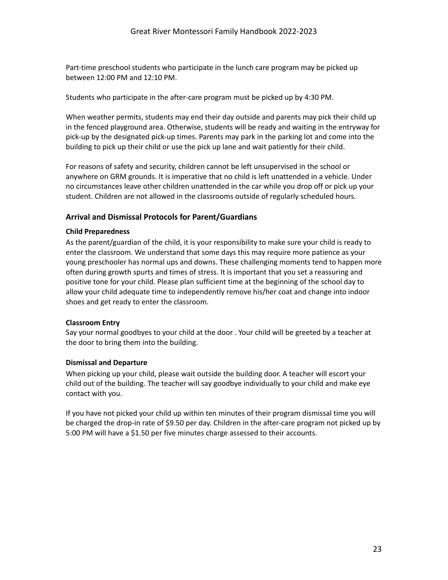Part-time preschool students who participate in the lunch care program may be picked up between 12:00 PM and 12:10 PM.

Students who participate in the after-care program must be picked up by 4:30 PM.

When weather permits, students may end their day outside and parents may pick their child up in the fenced playground area. Otherwise, students will be ready and waiting in the entryway for pick-up by the designated pick-up times. Parents may park in the parking lot and come into the building to pick up their child or use the pick up lane and wait patiently for their child.

For reasons of safety and security, children cannot be left unsupervised in the school or anywhere on GRM grounds. It is imperative that no child is left unattended in a vehicle. Under no circumstances leave other children unattended in the car while you drop off or pick up your student. Children are not allowed in the classrooms outside of regularly scheduled hours.

#### <span id="page-23-0"></span>**Arrival and Dismissal Protocols for Parent/Guardians**

#### **Child Preparedness**

As the parent/guardian of the child, it is your responsibility to make sure your child is ready to enter the classroom. We understand that some days this may require more patience as your young preschooler has normal ups and downs. These challenging moments tend to happen more often during growth spurts and times of stress. It is important that you set a reassuring and positive tone for your child. Please plan sufficient time at the beginning of the school day to allow your child adequate time to independently remove his/her coat and change into indoor shoes and get ready to enter the classroom.

#### **Classroom Entry**

Say your normal goodbyes to your child at the door . Your child will be greeted by a teacher at the door to bring them into the building.

#### **Dismissal and Departure**

When picking up your child, please wait outside the building door. A teacher will escort your child out of the building. The teacher will say goodbye individually to your child and make eye contact with you.

If you have not picked your child up within ten minutes of their program dismissal time you will be charged the drop-in rate of \$9.50 per day. Children in the after-care program not picked up by 5:00 PM will have a \$1.50 per five minutes charge assessed to their accounts.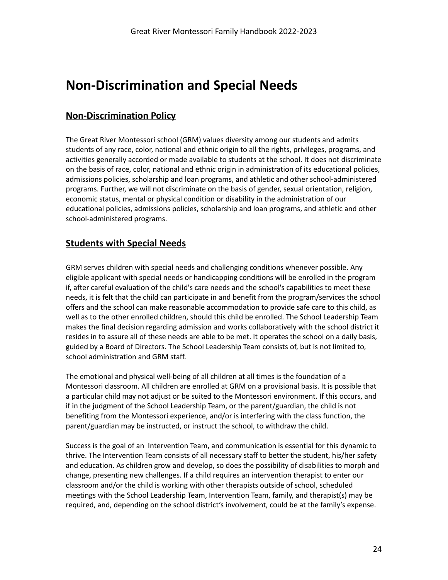## <span id="page-24-0"></span>**Non-Discrimination and Special Needs**

#### <span id="page-24-1"></span>**Non-Discrimination Policy**

The Great River Montessori school (GRM) values diversity among our students and admits students of any race, color, national and ethnic origin to all the rights, privileges, programs, and activities generally accorded or made available to students at the school. It does not discriminate on the basis of race, color, national and ethnic origin in administration of its educational policies, admissions policies, scholarship and loan programs, and athletic and other school-administered programs. Further, we will not discriminate on the basis of gender, sexual orientation, religion, economic status, mental or physical condition or disability in the administration of our educational policies, admissions policies, scholarship and loan programs, and athletic and other school-administered programs.

#### <span id="page-24-2"></span>**Students with Special Needs**

GRM serves children with special needs and challenging conditions whenever possible. Any eligible applicant with special needs or handicapping conditions will be enrolled in the program if, after careful evaluation of the child's care needs and the school's capabilities to meet these needs, it is felt that the child can participate in and benefit from the program/services the school offers and the school can make reasonable accommodation to provide safe care to this child, as well as to the other enrolled children, should this child be enrolled. The School Leadership Team makes the final decision regarding admission and works collaboratively with the school district it resides in to assure all of these needs are able to be met. It operates the school on a daily basis, guided by a Board of Directors. The School Leadership Team consists of, but is not limited to, school administration and GRM staff.

The emotional and physical well-being of all children at all times is the foundation of a Montessori classroom. All children are enrolled at GRM on a provisional basis. It is possible that a particular child may not adjust or be suited to the Montessori environment. If this occurs, and if in the judgment of the School Leadership Team, or the parent/guardian, the child is not benefiting from the Montessori experience, and/or is interfering with the class function, the parent/guardian may be instructed, or instruct the school, to withdraw the child.

Success is the goal of an Intervention Team, and communication is essential for this dynamic to thrive. The Intervention Team consists of all necessary staff to better the student, his/her safety and education. As children grow and develop, so does the possibility of disabilities to morph and change, presenting new challenges. If a child requires an intervention therapist to enter our classroom and/or the child is working with other therapists outside of school, scheduled meetings with the School Leadership Team, Intervention Team, family, and therapist(s) may be required, and, depending on the school district's involvement, could be at the family's expense.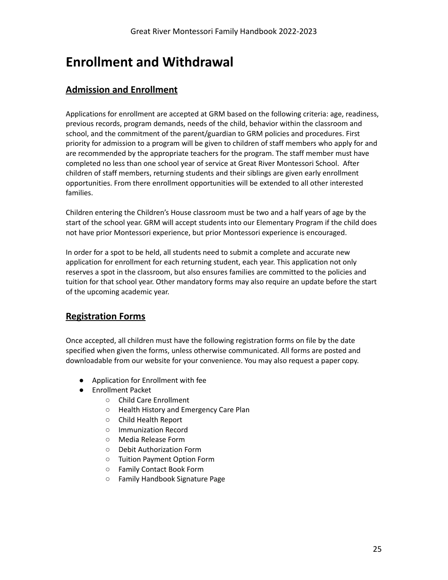## <span id="page-25-0"></span>**Enrollment and Withdrawal**

## <span id="page-25-1"></span>**Admission and Enrollment**

Applications for enrollment are accepted at GRM based on the following criteria: age, readiness, previous records, program demands, needs of the child, behavior within the classroom and school, and the commitment of the parent/guardian to GRM policies and procedures. First priority for admission to a program will be given to children of staff members who apply for and are recommended by the appropriate teachers for the program. The staff member must have completed no less than one school year of service at Great River Montessori School. After children of staff members, returning students and their siblings are given early enrollment opportunities. From there enrollment opportunities will be extended to all other interested families.

Children entering the Children's House classroom must be two and a half years of age by the start of the school year. GRM will accept students into our Elementary Program if the child does not have prior Montessori experience, but prior Montessori experience is encouraged.

In order for a spot to be held, all students need to submit a complete and accurate new application for enrollment for each returning student, each year. This application not only reserves a spot in the classroom, but also ensures families are committed to the policies and tuition for that school year. Other mandatory forms may also require an update before the start of the upcoming academic year.

## <span id="page-25-2"></span>**Registration Forms**

Once accepted, all children must have the following registration forms on file by the date specified when given the forms, unless otherwise communicated. All forms are posted and downloadable from our website for your convenience. You may also request a paper copy.

- Application for Enrollment with fee
- Enrollment Packet
	- Child Care Enrollment
	- Health History and Emergency Care Plan
	- Child Health Report
	- Immunization Record
	- Media Release Form
	- Debit Authorization Form
	- Tuition Payment Option Form
	- Family Contact Book Form
	- Family Handbook Signature Page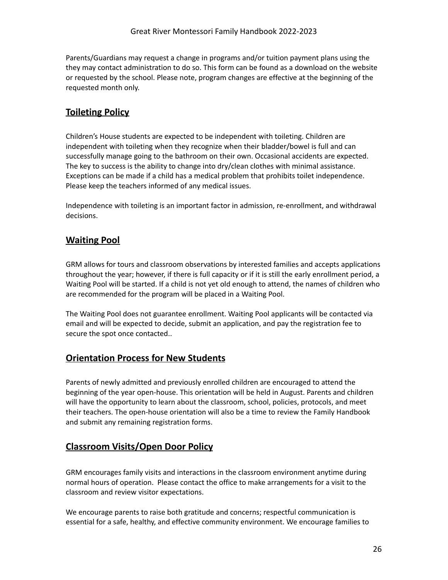Parents/Guardians may request a change in programs and/or tuition payment plans using the they may contact administration to do so. This form can be found as a download on the website or requested by the school. Please note, program changes are effective at the beginning of the requested month only.

## <span id="page-26-0"></span>**Toileting Policy**

Children's House students are expected to be independent with toileting. Children are independent with toileting when they recognize when their bladder/bowel is full and can successfully manage going to the bathroom on their own. Occasional accidents are expected. The key to success is the ability to change into dry/clean clothes with minimal assistance. Exceptions can be made if a child has a medical problem that prohibits toilet independence. Please keep the teachers informed of any medical issues.

Independence with toileting is an important factor in admission, re-enrollment, and withdrawal decisions.

#### <span id="page-26-1"></span>**Waiting Pool**

GRM allows for tours and classroom observations by interested families and accepts applications throughout the year; however, if there is full capacity or if it is still the early enrollment period, a Waiting Pool will be started. If a child is not yet old enough to attend, the names of children who are recommended for the program will be placed in a Waiting Pool.

The Waiting Pool does not guarantee enrollment. Waiting Pool applicants will be contacted via email and will be expected to decide, submit an application, and pay the registration fee to secure the spot once contacted..

## <span id="page-26-2"></span>**Orientation Process for New Students**

Parents of newly admitted and previously enrolled children are encouraged to attend the beginning of the year open-house. This orientation will be held in August. Parents and children will have the opportunity to learn about the classroom, school, policies, protocols, and meet their teachers. The open-house orientation will also be a time to review the Family Handbook and submit any remaining registration forms.

## <span id="page-26-3"></span>**Classroom Visits/Open Door Policy**

GRM encourages family visits and interactions in the classroom environment anytime during normal hours of operation. Please contact the office to make arrangements for a visit to the classroom and review visitor expectations.

We encourage parents to raise both gratitude and concerns; respectful communication is essential for a safe, healthy, and effective community environment. We encourage families to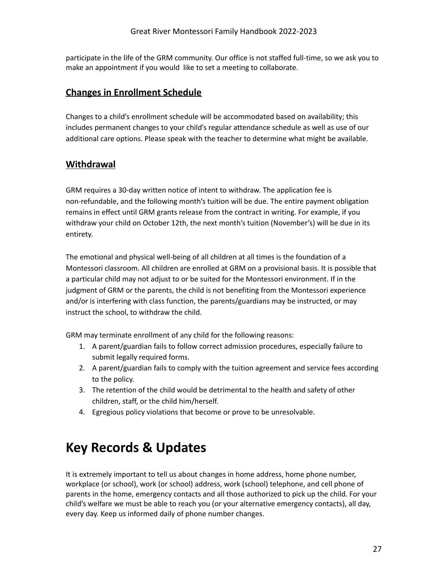participate in the life of the GRM community. Our office is not staffed full-time, so we ask you to make an appointment if you would like to set a meeting to collaborate.

#### **Changes in Enrollment Schedule**

Changes to a child's enrollment schedule will be accommodated based on availability; this includes permanent changes to your child's regular attendance schedule as well as use of our additional care options. Please speak with the teacher to determine what might be available.

#### **Withdrawal**

GRM requires a 30-day written notice of intent to withdraw. The application fee is non-refundable, and the following month's tuition will be due. The entire payment obligation remains in effect until GRM grants release from the contract in writing. For example, if you withdraw your child on October 12th, the next month's tuition (November's) will be due in its entirety.

The emotional and physical well-being of all children at all times is the foundation of a Montessori classroom. All children are enrolled at GRM on a provisional basis. It is possible that a particular child may not adjust to or be suited for the Montessori environment. If in the judgment of GRM or the parents, the child is not benefiting from the Montessori experience and/or is interfering with class function, the parents/guardians may be instructed, or may instruct the school, to withdraw the child.

GRM may terminate enrollment of any child for the following reasons:

- 1. A parent/guardian fails to follow correct admission procedures, especially failure to submit legally required forms.
- 2. A parent/guardian fails to comply with the tuition agreement and service fees according to the policy.
- 3. The retention of the child would be detrimental to the health and safety of other children, staff, or the child him/herself.
- <span id="page-27-0"></span>4. Egregious policy violations that become or prove to be unresolvable.

## **Key Records & Updates**

It is extremely important to tell us about changes in home address, home phone number, workplace (or school), work (or school) address, work (school) telephone, and cell phone of parents in the home, emergency contacts and all those authorized to pick up the child. For your child's welfare we must be able to reach you (or your alternative emergency contacts), all day, every day. Keep us informed daily of phone number changes.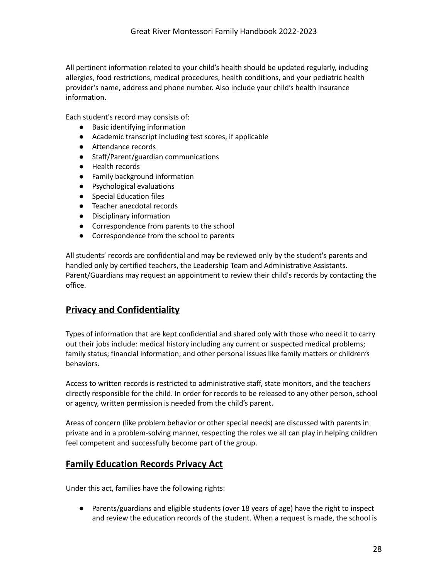All pertinent information related to your child's health should be updated regularly, including allergies, food restrictions, medical procedures, health conditions, and your pediatric health provider's name, address and phone number. Also include your child's health insurance information.

Each student's record may consists of:

- Basic identifying information
- Academic transcript including test scores, if applicable
- Attendance records
- Staff/Parent/guardian communications
- Health records
- Family background information
- Psychological evaluations
- Special Education files
- Teacher anecdotal records
- Disciplinary information
- Correspondence from parents to the school
- Correspondence from the school to parents

All students' records are confidential and may be reviewed only by the student's parents and handled only by certified teachers, the Leadership Team and Administrative Assistants. Parent/Guardians may request an appointment to review their child's records by contacting the office.

#### <span id="page-28-0"></span>**Privacy and Confidentiality**

Types of information that are kept confidential and shared only with those who need it to carry out their jobs include: medical history including any current or suspected medical problems; family status; financial information; and other personal issues like family matters or children's behaviors.

Access to written records is restricted to administrative staff, state monitors, and the teachers directly responsible for the child. In order for records to be released to any other person, school or agency, written permission is needed from the child's parent.

Areas of concern (like problem behavior or other special needs) are discussed with parents in private and in a problem-solving manner, respecting the roles we all can play in helping children feel competent and successfully become part of the group.

#### <span id="page-28-1"></span>**Family Education Records Privacy Act**

Under this act, families have the following rights:

● Parents/guardians and eligible students (over 18 years of age) have the right to inspect and review the education records of the student. When a request is made, the school is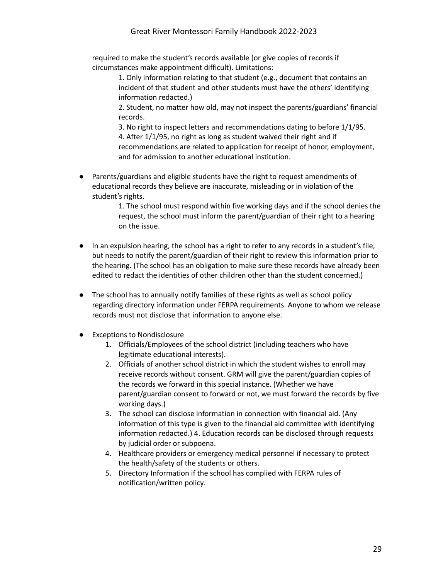required to make the student's records available (or give copies of records if circumstances make appointment difficult). Limitations:

1. Only information relating to that student (e.g., document that contains an incident of that student and other students must have the others' identifying information redacted.)

2. Student, no matter how old, may not inspect the parents/guardians' financial records.

3. No right to inspect letters and recommendations dating to before 1/1/95. 4. After 1/1/95, no right as long as student waived their right and if recommendations are related to application for receipt of honor, employment, and for admission to another educational institution.

● Parents/guardians and eligible students have the right to request amendments of educational records they believe are inaccurate, misleading or in violation of the student's rights.

> 1. The school must respond within five working days and if the school denies the request, the school must inform the parent/guardian of their right to a hearing on the issue.

- In an expulsion hearing, the school has a right to refer to any records in a student's file, but needs to notify the parent/guardian of their right to review this information prior to the hearing. (The school has an obligation to make sure these records have already been edited to redact the identities of other children other than the student concerned.)
- The school has to annually notify families of these rights as well as school policy regarding directory information under FERPA requirements. Anyone to whom we release records must not disclose that information to anyone else.
- Exceptions to Nondisclosure
	- 1. Officials/Employees of the school district (including teachers who have legitimate educational interests).
	- 2. Officials of another school district in which the student wishes to enroll may receive records without consent. GRM will give the parent/guardian copies of the records we forward in this special instance. (Whether we have parent/guardian consent to forward or not, we must forward the records by five working days.)
	- 3. The school can disclose information in connection with financial aid. (Any information of this type is given to the financial aid committee with identifying information redacted.) 4. Education records can be disclosed through requests by judicial order or subpoena.
	- 4. Healthcare providers or emergency medical personnel if necessary to protect the health/safety of the students or others.
	- 5. Directory Information if the school has complied with FERPA rules of notification/written policy.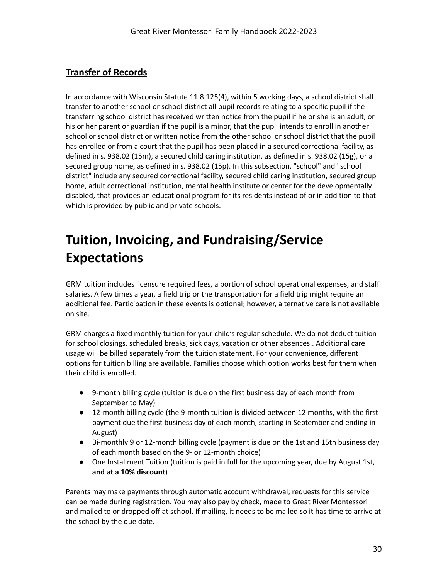## **Transfer of Records**

In accordance with Wisconsin Statute 11.8.125(4), within 5 working days, a school district shall transfer to another school or school district all pupil records relating to a specific pupil if the transferring school district has received written notice from the pupil if he or she is an adult, or his or her parent or guardian if the pupil is a minor, that the pupil intends to enroll in another school or school district or written notice from the other school or school district that the pupil has enrolled or from a court that the pupil has been placed in a secured correctional facility, as defined in s. 938.02 (15m), a secured child caring institution, as defined in s. 938.02 (15g), or a secured group home, as defined in s. 938.02 (15p). In this subsection, "school" and "school district" include any secured correctional facility, secured child caring institution, secured group home, adult correctional institution, mental health institute or center for the developmentally disabled, that provides an educational program for its residents instead of or in addition to that which is provided by public and private schools.

## **Tuition, Invoicing, and Fundraising/Service Expectations**

GRM tuition includes licensure required fees, a portion of school operational expenses, and staff salaries. A few times a year, a field trip or the transportation for a field trip might require an additional fee. Participation in these events is optional; however, alternative care is not available on site.

GRM charges a fixed monthly tuition for your child's regular schedule. We do not deduct tuition for school closings, scheduled breaks, sick days, vacation or other absences.. Additional care usage will be billed separately from the tuition statement. For your convenience, different options for tuition billing are available. Families choose which option works best for them when their child is enrolled.

- 9-month billing cycle (tuition is due on the first business day of each month from September to May)
- 12-month billing cycle (the 9-month tuition is divided between 12 months, with the first payment due the first business day of each month, starting in September and ending in August)
- Bi-monthly 9 or 12-month billing cycle (payment is due on the 1st and 15th business day of each month based on the 9- or 12-month choice)
- One Installment Tuition (tuition is paid in full for the upcoming year, due by August 1st, **and at a 10% discount**)

Parents may make payments through automatic account withdrawal; requests for this service can be made during registration. You may also pay by check, made to Great River Montessori and mailed to or dropped off at school. If mailing, it needs to be mailed so it has time to arrive at the school by the due date.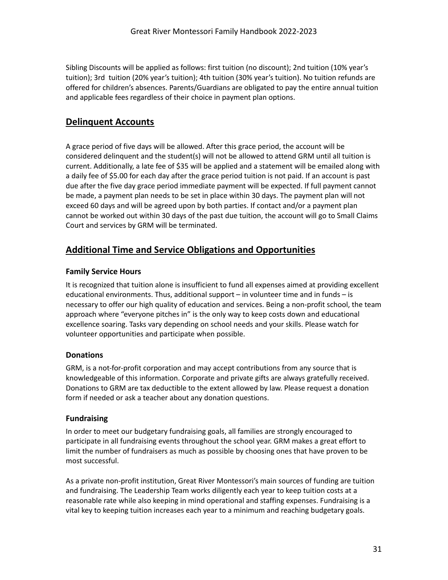Sibling Discounts will be applied as follows: first tuition (no discount); 2nd tuition (10% year's tuition); 3rd tuition (20% year's tuition); 4th tuition (30% year's tuition). No tuition refunds are offered for children's absences. Parents/Guardians are obligated to pay the entire annual tuition and applicable fees regardless of their choice in payment plan options.

## <span id="page-31-0"></span>**Delinquent Accounts**

A grace period of five days will be allowed. After this grace period, the account will be considered delinquent and the student(s) will not be allowed to attend GRM until all tuition is current. Additionally, a late fee of \$35 will be applied and a statement will be emailed along with a daily fee of \$5.00 for each day after the grace period tuition is not paid. If an account is past due after the five day grace period immediate payment will be expected. If full payment cannot be made, a payment plan needs to be set in place within 30 days. The payment plan will not exceed 60 days and will be agreed upon by both parties. If contact and/or a payment plan cannot be worked out within 30 days of the past due tuition, the account will go to Small Claims Court and services by GRM will be terminated.

## <span id="page-31-1"></span>**Additional Time and Service Obligations and Opportunities**

#### <span id="page-31-2"></span>**Family Service Hours**

It is recognized that tuition alone is insufficient to fund all expenses aimed at providing excellent educational environments. Thus, additional support – in volunteer time and in funds – is necessary to offer our high quality of education and services. Being a non-profit school, the team approach where "everyone pitches in" is the only way to keep costs down and educational excellence soaring. Tasks vary depending on school needs and your skills. Please watch for volunteer opportunities and participate when possible.

#### <span id="page-31-3"></span>**Donations**

GRM, is a not-for-profit corporation and may accept contributions from any source that is knowledgeable of this information. Corporate and private gifts are always gratefully received. Donations to GRM are tax deductible to the extent allowed by law. Please request a donation form if needed or ask a teacher about any donation questions.

#### <span id="page-31-4"></span>**Fundraising**

In order to meet our budgetary fundraising goals, all families are strongly encouraged to participate in all fundraising events throughout the school year. GRM makes a great effort to limit the number of fundraisers as much as possible by choosing ones that have proven to be most successful.

As a private non-profit institution, Great River Montessori's main sources of funding are tuition and fundraising. The Leadership Team works diligently each year to keep tuition costs at a reasonable rate while also keeping in mind operational and staffing expenses. Fundraising is a vital key to keeping tuition increases each year to a minimum and reaching budgetary goals.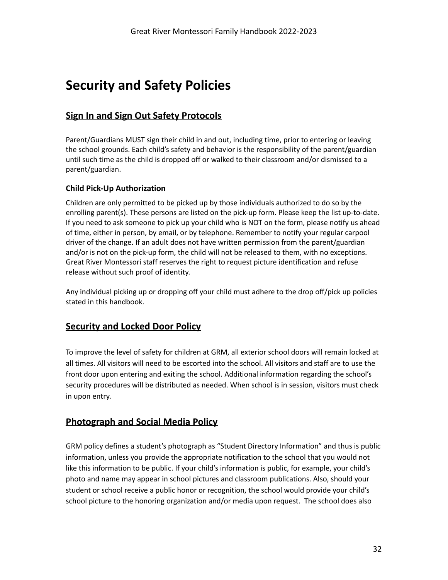## **Security and Safety Policies**

## <span id="page-32-0"></span>**Sign In and Sign Out Safety Protocols**

Parent/Guardians MUST sign their child in and out, including time, prior to entering or leaving the school grounds. Each child's safety and behavior is the responsibility of the parent/guardian until such time as the child is dropped off or walked to their classroom and/or dismissed to a parent/guardian.

#### <span id="page-32-1"></span>**Child Pick-Up Authorization**

Children are only permitted to be picked up by those individuals authorized to do so by the enrolling parent(s). These persons are listed on the pick-up form. Please keep the list up-to-date. If you need to ask someone to pick up your child who is NOT on the form, please notify us ahead of time, either in person, by email, or by telephone. Remember to notify your regular carpool driver of the change. If an adult does not have written permission from the parent/guardian and/or is not on the pick-up form, the child will not be released to them, with no exceptions. Great River Montessori staff reserves the right to request picture identification and refuse release without such proof of identity.

Any individual picking up or dropping off your child must adhere to the drop off/pick up policies stated in this handbook.

#### <span id="page-32-2"></span>**Security and Locked Door Policy**

To improve the level of safety for children at GRM, all exterior school doors will remain locked at all times. All visitors will need to be escorted into the school. All visitors and staff are to use the front door upon entering and exiting the school. Additional information regarding the school's security procedures will be distributed as needed. When school is in session, visitors must check in upon entry.

#### <span id="page-32-3"></span>**Photograph and Social Media Policy**

GRM policy defines a student's photograph as "Student Directory Information" and thus is public information, unless you provide the appropriate notification to the school that you would not like this information to be public. If your child's information is public, for example, your child's photo and name may appear in school pictures and classroom publications. Also, should your student or school receive a public honor or recognition, the school would provide your child's school picture to the honoring organization and/or media upon request. The school does also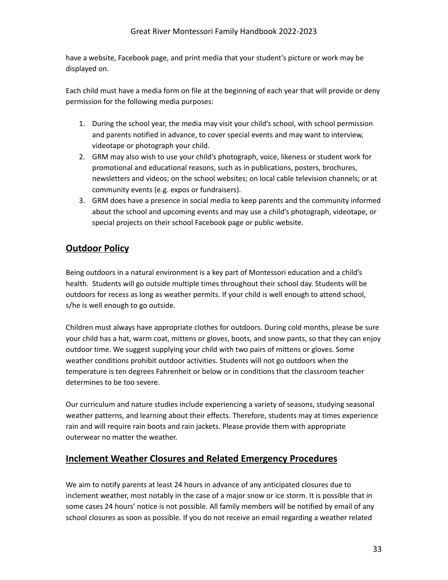have a website, Facebook page, and print media that your student's picture or work may be displayed on.

Each child must have a media form on file at the beginning of each year that will provide or deny permission for the following media purposes:

- 1. During the school year, the media may visit your child's school, with school permission and parents notified in advance, to cover special events and may want to interview, videotape or photograph your child.
- 2. GRM may also wish to use your child's photograph, voice, likeness or student work for promotional and educational reasons, such as in publications, posters, brochures, newsletters and videos; on the school websites; on local cable television channels; or at community events (e.g. expos or fundraisers).
- 3. GRM does have a presence in social media to keep parents and the community informed about the school and upcoming events and may use a child's photograph, videotape, or special projects on their school Facebook page or public website.

## <span id="page-33-0"></span>**Outdoor Policy**

Being outdoors in a natural environment is a key part of Montessori education and a child's health. Students will go outside multiple times throughout their school day. Students will be outdoors for recess as long as weather permits. If your child is well enough to attend school, s/he is well enough to go outside.

Children must always have appropriate clothes for outdoors. During cold months, please be sure your child has a hat, warm coat, mittens or gloves, boots, and snow pants, so that they can enjoy outdoor time. We suggest supplying your child with two pairs of mittens or gloves. Some weather conditions prohibit outdoor activities. Students will not go outdoors when the temperature is ten degrees Fahrenheit or below or in conditions that the classroom teacher determines to be too severe.

Our curriculum and nature studies include experiencing a variety of seasons, studying seasonal weather patterns, and learning about their effects. Therefore, students may at times experience rain and will require rain boots and rain jackets. Please provide them with appropriate outerwear no matter the weather.

## <span id="page-33-1"></span>**Inclement Weather Closures and Related Emergency Procedures**

We aim to notify parents at least 24 hours in advance of any anticipated closures due to inclement weather, most notably in the case of a major snow or ice storm. It is possible that in some cases 24 hours' notice is not possible. All family members will be notified by email of any school closures as soon as possible. If you do not receive an email regarding a weather related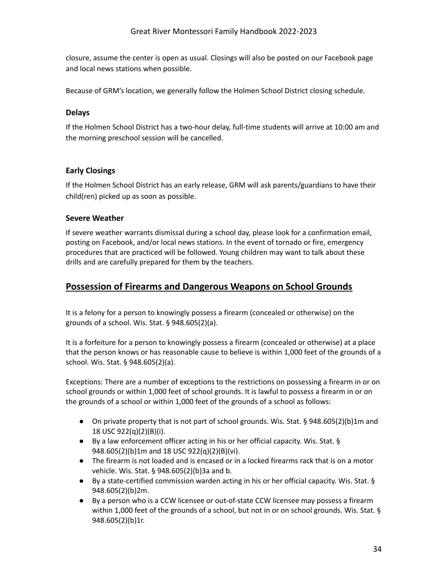closure, assume the center is open as usual. Closings will also be posted on our Facebook page and local news stations when possible.

<span id="page-34-0"></span>Because of GRM's location, we generally follow the Holmen School District closing schedule.

#### **Delays**

If the Holmen School District has a two-hour delay, full-time students will arrive at 10:00 am and the morning preschool session will be cancelled.

#### **Early Closings**

If the Holmen School District has an early release, GRM will ask parents/guardians to have their child(ren) picked up as soon as possible.

#### <span id="page-34-1"></span>**Severe Weather**

If severe weather warrants dismissal during a school day, please look for a confirmation email, posting on Facebook, and/or local news stations. In the event of tornado or fire, emergency procedures that are practiced will be followed. Young children may want to talk about these drills and are carefully prepared for them by the teachers.

#### <span id="page-34-2"></span>**Possession of Firearms and Dangerous Weapons on School Grounds**

It is a felony for a person to knowingly possess a firearm (concealed or otherwise) on the grounds of a school. Wis. Stat. § 948.605(2)(a).

It is a forfeiture for a person to knowingly possess a firearm (concealed or otherwise) at a place that the person knows or has reasonable cause to believe is within 1,000 feet of the grounds of a school. Wis. Stat. § 948.605(2)(a).

Exceptions: There are a number of exceptions to the restrictions on possessing a firearm in or on school grounds or within 1,000 feet of school grounds. It is lawful to possess a firearm in or on the grounds of a school or within 1,000 feet of the grounds of a school as follows:

- On private property that is not part of school grounds. Wis. Stat. § 948.605(2)(b)1m and 18 USC 922(q)(2)(B)(i).
- By a law enforcement officer acting in his or her official capacity. Wis. Stat. § 948.605(2)(b)1m and 18 USC 922(q)(2)(B)(vi).
- The firearm is not loaded and is encased or in a locked firearms rack that is on a motor vehicle. Wis. Stat. § 948.605(2)(b)3a and b.
- By a state-certified commission warden acting in his or her official capacity. Wis. Stat. § 948.605(2)(b)2m.
- By a person who is a CCW licensee or out-of-state CCW licensee may possess a firearm within 1,000 feet of the grounds of a school, but not in or on school grounds. Wis. Stat. § 948.605(2)(b)1r.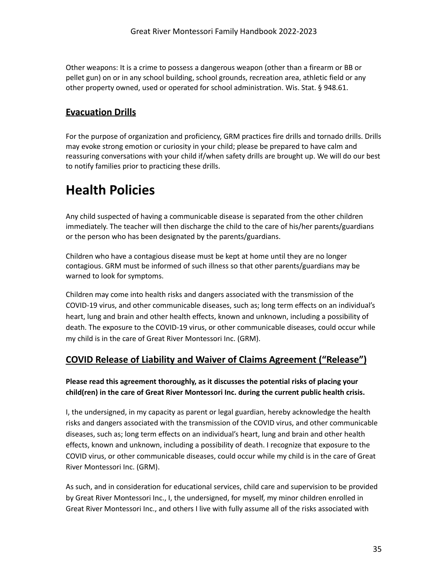Other weapons: It is a crime to possess a dangerous weapon (other than a firearm or BB or pellet gun) on or in any school building, school grounds, recreation area, athletic field or any other property owned, used or operated for school administration. Wis. Stat. § 948.61.

## <span id="page-35-0"></span>**Evacuation Drills**

For the purpose of organization and proficiency, GRM practices fire drills and tornado drills. Drills may evoke strong emotion or curiosity in your child; please be prepared to have calm and reassuring conversations with your child if/when safety drills are brought up. We will do our best to notify families prior to practicing these drills.

## **Health Policies**

Any child suspected of having a communicable disease is separated from the other children immediately. The teacher will then discharge the child to the care of his/her parents/guardians or the person who has been designated by the parents/guardians.

Children who have a contagious disease must be kept at home until they are no longer contagious. GRM must be informed of such illness so that other parents/guardians may be warned to look for symptoms.

Children may come into health risks and dangers associated with the transmission of the COVID-19 virus, and other communicable diseases, such as; long term effects on an individual's heart, lung and brain and other health effects, known and unknown, including a possibility of death. The exposure to the COVID-19 virus, or other communicable diseases, could occur while my child is in the care of Great River Montessori Inc. (GRM).

## **COVID Release of Liability and Waiver of Claims Agreement ("Release")**

#### **Please read this agreement thoroughly, as it discusses the potential risks of placing your child(ren) in the care of Great River Montessori Inc. during the current public health crisis.**

I, the undersigned, in my capacity as parent or legal guardian, hereby acknowledge the health risks and dangers associated with the transmission of the COVID virus, and other communicable diseases, such as; long term effects on an individual's heart, lung and brain and other health effects, known and unknown, including a possibility of death. I recognize that exposure to the COVID virus, or other communicable diseases, could occur while my child is in the care of Great River Montessori Inc. (GRM).

As such, and in consideration for educational services, child care and supervision to be provided by Great River Montessori Inc., I, the undersigned, for myself, my minor children enrolled in Great River Montessori Inc., and others I live with fully assume all of the risks associated with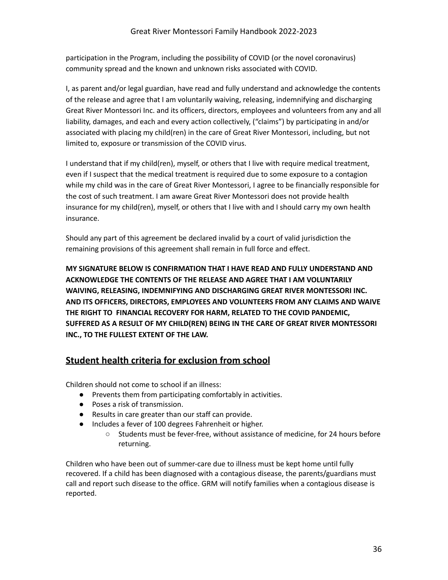participation in the Program, including the possibility of COVID (or the novel coronavirus) community spread and the known and unknown risks associated with COVID.

I, as parent and/or legal guardian, have read and fully understand and acknowledge the contents of the release and agree that I am voluntarily waiving, releasing, indemnifying and discharging Great River Montessori Inc. and its officers, directors, employees and volunteers from any and all liability, damages, and each and every action collectively, ("claims") by participating in and/or associated with placing my child(ren) in the care of Great River Montessori, including, but not limited to, exposure or transmission of the COVID virus.

I understand that if my child(ren), myself, or others that I live with require medical treatment, even if I suspect that the medical treatment is required due to some exposure to a contagion while my child was in the care of Great River Montessori, I agree to be financially responsible for the cost of such treatment. I am aware Great River Montessori does not provide health insurance for my child(ren), myself, or others that I live with and I should carry my own health insurance.

Should any part of this agreement be declared invalid by a court of valid jurisdiction the remaining provisions of this agreement shall remain in full force and effect.

**MY SIGNATURE BELOW IS CONFIRMATION THAT I HAVE READ AND FULLY UNDERSTAND AND ACKNOWLEDGE THE CONTENTS OF THE RELEASE AND AGREE THAT I AM VOLUNTARILY WAIVING, RELEASING, INDEMNIFYING AND DISCHARGING GREAT RIVER MONTESSORI INC. AND ITS OFFICERS, DIRECTORS, EMPLOYEES AND VOLUNTEERS FROM ANY CLAIMS AND WAIVE THE RIGHT TO FINANCIAL RECOVERY FOR HARM, RELATED TO THE COVID PANDEMIC, SUFFERED AS A RESULT OF MY CHILD(REN) BEING IN THE CARE OF GREAT RIVER MONTESSORI INC., TO THE FULLEST EXTENT OF THE LAW.**

## **Student health criteria for exclusion from school**

Children should not come to school if an illness:

- Prevents them from participating comfortably in activities.
- Poses a risk of transmission.
- Results in care greater than our staff can provide.
- Includes a fever of 100 degrees Fahrenheit or higher.
	- Students must be fever-free, without assistance of medicine, for 24 hours before returning.

Children who have been out of summer-care due to illness must be kept home until fully recovered. If a child has been diagnosed with a contagious disease, the parents/guardians must call and report such disease to the office. GRM will notify families when a contagious disease is reported.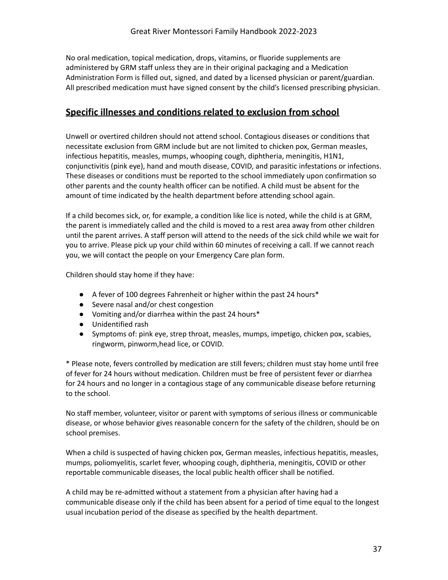No oral medication, topical medication, drops, vitamins, or fluoride supplements are administered by GRM staff unless they are in their original packaging and a Medication Administration Form is filled out, signed, and dated by a licensed physician or parent/guardian. All prescribed medication must have signed consent by the child's licensed prescribing physician.

#### <span id="page-37-0"></span>**Specific illnesses and conditions related to exclusion from school**

Unwell or overtired children should not attend school. Contagious diseases or conditions that necessitate exclusion from GRM include but are not limited to chicken pox, German measles, infectious hepatitis, measles, mumps, whooping cough, diphtheria, meningitis, H1N1, conjunctivitis (pink eye), hand and mouth disease, COVID, and parasitic infestations or infections. These diseases or conditions must be reported to the school immediately upon confirmation so other parents and the county health officer can be notified. A child must be absent for the amount of time indicated by the health department before attending school again.

If a child becomes sick, or, for example, a condition like lice is noted, while the child is at GRM, the parent is immediately called and the child is moved to a rest area away from other children until the parent arrives. A staff person will attend to the needs of the sick child while we wait for you to arrive. Please pick up your child within 60 minutes of receiving a call. If we cannot reach you, we will contact the people on your Emergency Care plan form.

Children should stay home if they have:

- A fever of 100 degrees Fahrenheit or higher within the past 24 hours\*
- Severe nasal and/or chest congestion
- Vomiting and/or diarrhea within the past 24 hours\*
- Unidentified rash
- Symptoms of: pink eye, strep throat, measles, mumps, impetigo, chicken pox, scabies, ringworm, pinworm,head lice, or COVID.

\* Please note, fevers controlled by medication are still fevers; children must stay home until free of fever for 24 hours without medication. Children must be free of persistent fever or diarrhea for 24 hours and no longer in a contagious stage of any communicable disease before returning to the school.

No staff member, volunteer, visitor or parent with symptoms of serious illness or communicable disease, or whose behavior gives reasonable concern for the safety of the children, should be on school premises.

When a child is suspected of having chicken pox, German measles, infectious hepatitis, measles, mumps, poliomyelitis, scarlet fever, whooping cough, diphtheria, meningitis, COVID or other reportable communicable diseases, the local public health officer shall be notified.

A child may be re-admitted without a statement from a physician after having had a communicable disease only if the child has been absent for a period of time equal to the longest usual incubation period of the disease as specified by the health department.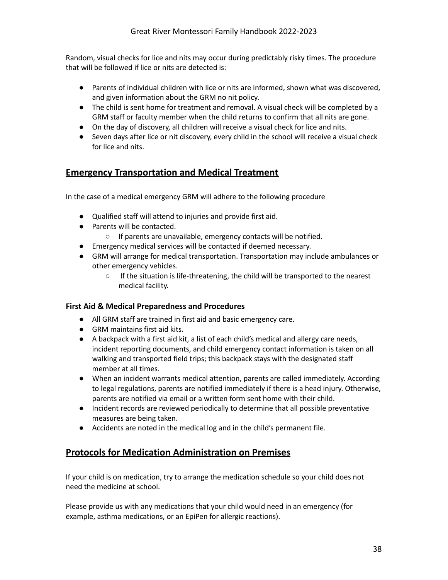Random, visual checks for lice and nits may occur during predictably risky times. The procedure that will be followed if lice or nits are detected is:

- Parents of individual children with lice or nits are informed, shown what was discovered, and given information about the GRM no nit policy.
- The child is sent home for treatment and removal. A visual check will be completed by a GRM staff or faculty member when the child returns to confirm that all nits are gone.
- On the day of discovery, all children will receive a visual check for lice and nits.
- Seven days after lice or nit discovery, every child in the school will receive a visual check for lice and nits.

#### <span id="page-38-0"></span>**Emergency Transportation and Medical Treatment**

In the case of a medical emergency GRM will adhere to the following procedure

- Qualified staff will attend to injuries and provide first aid.
- Parents will be contacted.
	- If parents are unavailable, emergency contacts will be notified.
- Emergency medical services will be contacted if deemed necessary.
- GRM will arrange for medical transportation. Transportation may include ambulances or other emergency vehicles.
	- If the situation is life-threatening, the child will be transported to the nearest medical facility.

#### **First Aid & Medical Preparedness and Procedures**

- All GRM staff are trained in first aid and basic emergency care.
- GRM maintains first aid kits.
- A backpack with a first aid kit, a list of each child's medical and allergy care needs, incident reporting documents, and child emergency contact information is taken on all walking and transported field trips; this backpack stays with the designated staff member at all times.
- When an incident warrants medical attention, parents are called immediately. According to legal regulations, parents are notified immediately if there is a head injury. Otherwise, parents are notified via email or a written form sent home with their child.
- Incident records are reviewed periodically to determine that all possible preventative measures are being taken.
- Accidents are noted in the medical log and in the child's permanent file.

#### <span id="page-38-1"></span>**Protocols for Medication Administration on Premises**

If your child is on medication, try to arrange the medication schedule so your child does not need the medicine at school.

Please provide us with any medications that your child would need in an emergency (for example, asthma medications, or an EpiPen for allergic reactions).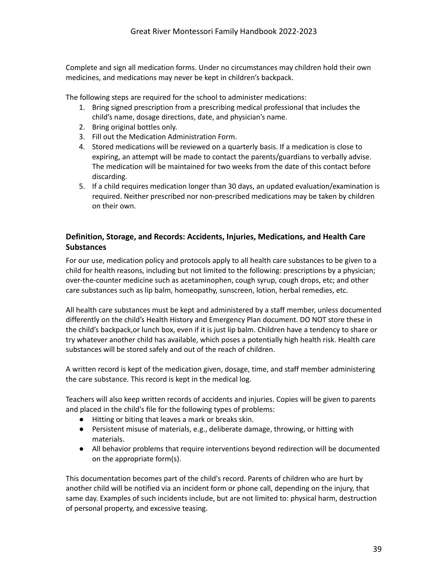Complete and sign all medication forms. Under no circumstances may children hold their own medicines, and medications may never be kept in children's backpack.

The following steps are required for the school to administer medications:

- 1. Bring signed prescription from a prescribing medical professional that includes the child's name, dosage directions, date, and physician's name.
- 2. Bring original bottles only.
- 3. Fill out the Medication Administration Form.
- 4. Stored medications will be reviewed on a quarterly basis. If a medication is close to expiring, an attempt will be made to contact the parents/guardians to verbally advise. The medication will be maintained for two weeks from the date of this contact before discarding.
- 5. If a child requires medication longer than 30 days, an updated evaluation/examination is required. Neither prescribed nor non-prescribed medications may be taken by children on their own.

#### <span id="page-39-0"></span>**Definition, Storage, and Records: Accidents, Injuries, Medications, and Health Care Substances**

For our use, medication policy and protocols apply to all health care substances to be given to a child for health reasons, including but not limited to the following: prescriptions by a physician; over-the-counter medicine such as acetaminophen, cough syrup, cough drops, etc; and other care substances such as lip balm, homeopathy, sunscreen, lotion, herbal remedies, etc.

All health care substances must be kept and administered by a staff member, unless documented differently on the child's Health History and Emergency Plan document. DO NOT store these in the child's backpack,or lunch box, even if it is just lip balm. Children have a tendency to share or try whatever another child has available, which poses a potentially high health risk. Health care substances will be stored safely and out of the reach of children.

A written record is kept of the medication given, dosage, time, and staff member administering the care substance. This record is kept in the medical log.

Teachers will also keep written records of accidents and injuries. Copies will be given to parents and placed in the child's file for the following types of problems:

- Hitting or biting that leaves a mark or breaks skin.
- Persistent misuse of materials, e.g., deliberate damage, throwing, or hitting with materials.
- All behavior problems that require interventions beyond redirection will be documented on the appropriate form(s).

This documentation becomes part of the child's record. Parents of children who are hurt by another child will be notified via an incident form or phone call, depending on the injury, that same day. Examples of such incidents include, but are not limited to: physical harm, destruction of personal property, and excessive teasing.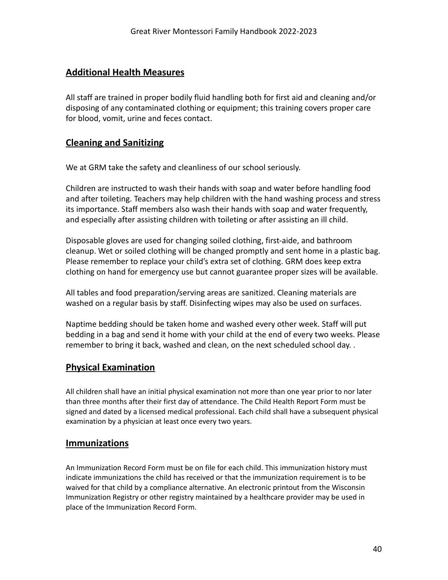#### <span id="page-40-0"></span>**Additional Health Measures**

All staff are trained in proper bodily fluid handling both for first aid and cleaning and/or disposing of any contaminated clothing or equipment; this training covers proper care for blood, vomit, urine and feces contact.

#### <span id="page-40-1"></span>**Cleaning and Sanitizing**

We at GRM take the safety and cleanliness of our school seriously.

Children are instructed to wash their hands with soap and water before handling food and after toileting. Teachers may help children with the hand washing process and stress its importance. Staff members also wash their hands with soap and water frequently, and especially after assisting children with toileting or after assisting an ill child.

Disposable gloves are used for changing soiled clothing, first-aide, and bathroom cleanup. Wet or soiled clothing will be changed promptly and sent home in a plastic bag. Please remember to replace your child's extra set of clothing. GRM does keep extra clothing on hand for emergency use but cannot guarantee proper sizes will be available.

All tables and food preparation/serving areas are sanitized. Cleaning materials are washed on a regular basis by staff. Disinfecting wipes may also be used on surfaces.

Naptime bedding should be taken home and washed every other week. Staff will put bedding in a bag and send it home with your child at the end of every two weeks. Please remember to bring it back, washed and clean, on the next scheduled school day. .

## <span id="page-40-2"></span>**Physical Examination**

All children shall have an initial physical examination not more than one year prior to nor later than three months after their first day of attendance. The Child Health Report Form must be signed and dated by a licensed medical professional. Each child shall have a subsequent physical examination by a physician at least once every two years.

#### <span id="page-40-3"></span>**Immunizations**

An Immunization Record Form must be on file for each child. This immunization history must indicate immunizations the child has received or that the immunization requirement is to be waived for that child by a compliance alternative. An electronic printout from the Wisconsin Immunization Registry or other registry maintained by a healthcare provider may be used in place of the Immunization Record Form.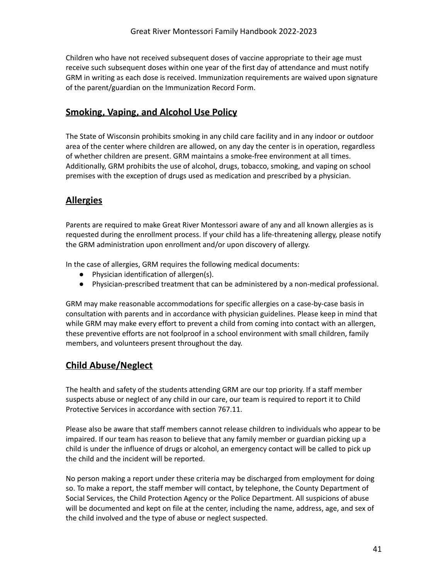Children who have not received subsequent doses of vaccine appropriate to their age must receive such subsequent doses within one year of the first day of attendance and must notify GRM in writing as each dose is received. Immunization requirements are waived upon signature of the parent/guardian on the Immunization Record Form.

#### <span id="page-41-0"></span>**Smoking, Vaping, and Alcohol Use Policy**

The State of Wisconsin prohibits smoking in any child care facility and in any indoor or outdoor area of the center where children are allowed, on any day the center is in operation, regardless of whether children are present. GRM maintains a smoke-free environment at all times. Additionally, GRM prohibits the use of alcohol, drugs, tobacco, smoking, and vaping on school premises with the exception of drugs used as medication and prescribed by a physician.

## **Allergies**

Parents are required to make Great River Montessori aware of any and all known allergies as is requested during the enrollment process. If your child has a life-threatening allergy, please notify the GRM administration upon enrollment and/or upon discovery of allergy.

In the case of allergies, GRM requires the following medical documents:

- Physician identification of allergen(s).
- Physician-prescribed treatment that can be administered by a non-medical professional.

GRM may make reasonable accommodations for specific allergies on a case-by-case basis in consultation with parents and in accordance with physician guidelines. Please keep in mind that while GRM may make every effort to prevent a child from coming into contact with an allergen, these preventive efforts are not foolproof in a school environment with small children, family members, and volunteers present throughout the day.

## <span id="page-41-1"></span>**Child Abuse/Neglect**

The health and safety of the students attending GRM are our top priority. If a staff member suspects abuse or neglect of any child in our care, our team is required to report it to Child Protective Services in accordance with section 767.11.

Please also be aware that staff members cannot release children to individuals who appear to be impaired. If our team has reason to believe that any family member or guardian picking up a child is under the influence of drugs or alcohol, an emergency contact will be called to pick up the child and the incident will be reported.

No person making a report under these criteria may be discharged from employment for doing so. To make a report, the staff member will contact, by telephone, the County Department of Social Services, the Child Protection Agency or the Police Department. All suspicions of abuse will be documented and kept on file at the center, including the name, address, age, and sex of the child involved and the type of abuse or neglect suspected.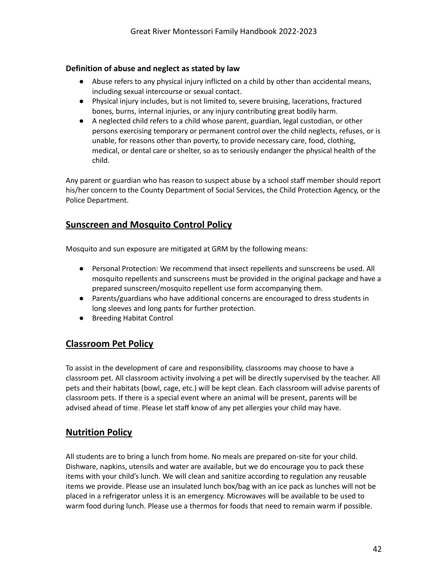#### <span id="page-42-0"></span>**Definition of abuse and neglect as stated by law**

- Abuse refers to any physical injury inflicted on a child by other than accidental means, including sexual intercourse or sexual contact.
- Physical injury includes, but is not limited to, severe bruising, lacerations, fractured bones, burns, internal injuries, or any injury contributing great bodily harm.
- A neglected child refers to a child whose parent, guardian, legal custodian, or other persons exercising temporary or permanent control over the child neglects, refuses, or is unable, for reasons other than poverty, to provide necessary care, food, clothing, medical, or dental care or shelter, so as to seriously endanger the physical health of the child.

Any parent or guardian who has reason to suspect abuse by a school staff member should report his/her concern to the County Department of Social Services, the Child Protection Agency, or the Police Department.

#### <span id="page-42-1"></span>**Sunscreen and Mosquito Control Policy**

Mosquito and sun exposure are mitigated at GRM by the following means:

- Personal Protection: We recommend that insect repellents and sunscreens be used. All mosquito repellents and sunscreens must be provided in the original package and have a prepared sunscreen/mosquito repellent use form accompanying them.
- Parents/guardians who have additional concerns are encouraged to dress students in long sleeves and long pants for further protection.
- Breeding Habitat Control

#### <span id="page-42-2"></span>**Classroom Pet Policy**

To assist in the development of care and responsibility, classrooms may choose to have a classroom pet. All classroom activity involving a pet will be directly supervised by the teacher. All pets and their habitats (bowl, cage, etc.) will be kept clean. Each classroom will advise parents of classroom pets. If there is a special event where an animal will be present, parents will be advised ahead of time. Please let staff know of any pet allergies your child may have.

#### <span id="page-42-3"></span>**Nutrition Policy**

All students are to bring a lunch from home. No meals are prepared on-site for your child. Dishware, napkins, utensils and water are available, but we do encourage you to pack these items with your child's lunch. We will clean and sanitize according to regulation any reusable items we provide. Please use an insulated lunch box/bag with an ice pack as lunches will not be placed in a refrigerator unless it is an emergency. Microwaves will be available to be used to warm food during lunch. Please use a thermos for foods that need to remain warm if possible.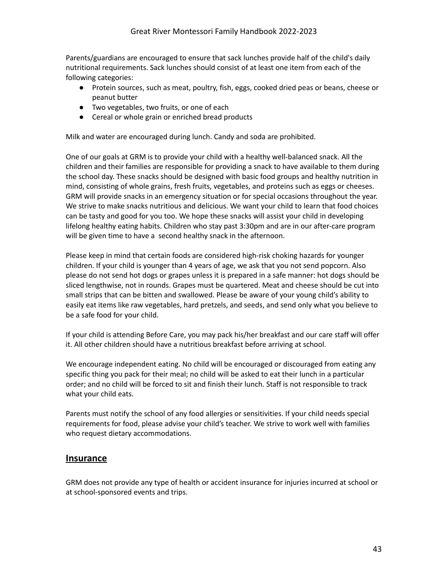Parents/guardians are encouraged to ensure that sack lunches provide half of the child's daily nutritional requirements. Sack lunches should consist of at least one item from each of the following categories:

- Protein sources, such as meat, poultry, fish, eggs, cooked dried peas or beans, cheese or peanut butter
- Two vegetables, two fruits, or one of each
- Cereal or whole grain or enriched bread products

Milk and water are encouraged during lunch. Candy and soda are prohibited.

One of our goals at GRM is to provide your child with a healthy well-balanced snack. All the children and their families are responsible for providing a snack to have available to them during the school day. These snacks should be designed with basic food groups and healthy nutrition in mind, consisting of whole grains, fresh fruits, vegetables, and proteins such as eggs or cheeses. GRM will provide snacks in an emergency situation or for special occasions throughout the year. We strive to make snacks nutritious and delicious. We want your child to learn that food choices can be tasty and good for you too. We hope these snacks will assist your child in developing lifelong healthy eating habits. Children who stay past 3:30pm and are in our after-care program will be given time to have a second healthy snack in the afternoon.

Please keep in mind that certain foods are considered high-risk choking hazards for younger children. If your child is younger than 4 years of age, we ask that you not send popcorn. Also please do not send hot dogs or grapes unless it is prepared in a safe manner: hot dogs should be sliced lengthwise, not in rounds. Grapes must be quartered. Meat and cheese should be cut into small strips that can be bitten and swallowed. Please be aware of your young child's ability to easily eat items like raw vegetables, hard pretzels, and seeds, and send only what you believe to be a safe food for your child.

If your child is attending Before Care, you may pack his/her breakfast and our care staff will offer it. All other children should have a nutritious breakfast before arriving at school.

We encourage independent eating. No child will be encouraged or discouraged from eating any specific thing you pack for their meal; no child will be asked to eat their lunch in a particular order; and no child will be forced to sit and finish their lunch. Staff is not responsible to track what your child eats.

Parents must notify the school of any food allergies or sensitivities. If your child needs special requirements for food, please advise your child's teacher. We strive to work well with families who request dietary accommodations.

#### <span id="page-43-0"></span>**Insurance**

GRM does not provide any type of health or accident insurance for injuries incurred at school or at school-sponsored events and trips.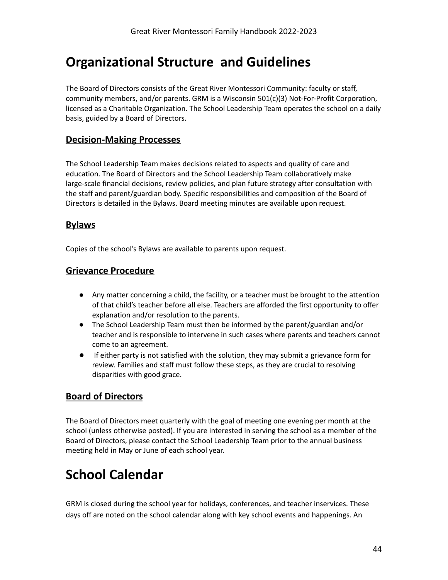## <span id="page-44-0"></span>**Organizational Structure and Guidelines**

The Board of Directors consists of the Great River Montessori Community: faculty or staff, community members, and/or parents. GRM is a Wisconsin 501(c)(3) Not-For-Profit Corporation, licensed as a Charitable Organization. The School Leadership Team operates the school on a daily basis, guided by a Board of Directors.

#### <span id="page-44-1"></span>**Decision-Making Processes**

The School Leadership Team makes decisions related to aspects and quality of care and education. The Board of Directors and the School Leadership Team collaboratively make large-scale financial decisions, review policies, and plan future strategy after consultation with the staff and parent/guardian body. Specific responsibilities and composition of the Board of Directors is detailed in the Bylaws. Board meeting minutes are available upon request.

#### <span id="page-44-2"></span>**Bylaws**

Copies of the school's Bylaws are available to parents upon request.

#### <span id="page-44-3"></span>**Grievance Procedure**

- Any matter concerning a child, the facility, or a teacher must be brought to the attention of that child's teacher before all else. Teachers are afforded the first opportunity to offer explanation and/or resolution to the parents.
- The School Leadership Team must then be informed by the parent/guardian and/or teacher and is responsible to intervene in such cases where parents and teachers cannot come to an agreement.
- If either party is not satisfied with the solution, they may submit a grievance form for review. Families and staff must follow these steps, as they are crucial to resolving disparities with good grace.

## <span id="page-44-4"></span>**Board of Directors**

The Board of Directors meet quarterly with the goal of meeting one evening per month at the school (unless otherwise posted). If you are interested in serving the school as a member of the Board of Directors, please contact the School Leadership Team prior to the annual business meeting held in May or June of each school year.

## <span id="page-44-5"></span>**School Calendar**

GRM is closed during the school year for holidays, conferences, and teacher inservices. These days off are noted on the school calendar along with key school events and happenings. An